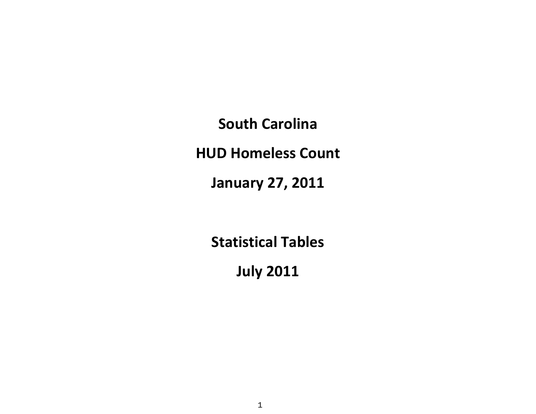**South Carolina**

**HUD Homeless Count**

**January 27, 2011**

**Statistical Tables**

**July 2011**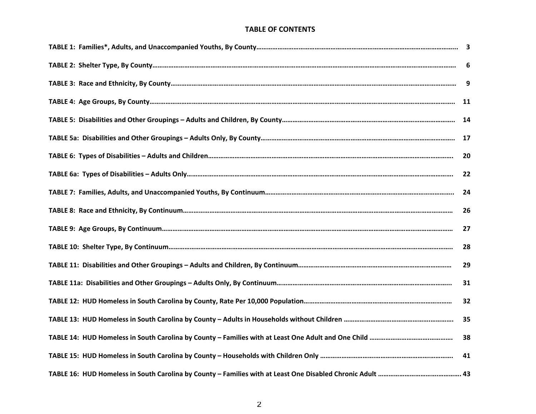#### **TABLE OF CONTENTS**

| 6  |
|----|
| 9  |
| 11 |
|    |
|    |
| 20 |
| 22 |
| 24 |
| 26 |
| 27 |
| 28 |
| 29 |
| 31 |
| 32 |
| 35 |
| 38 |
| 41 |
|    |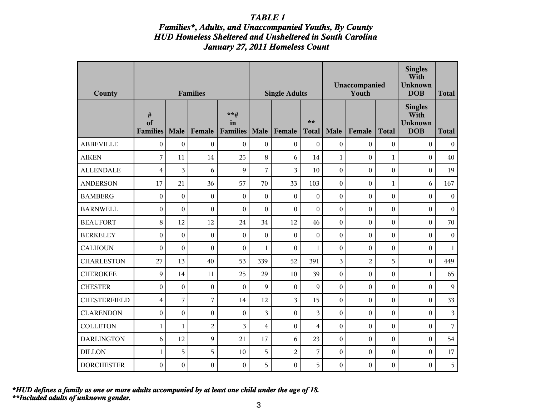### *Families\*, Adults, and Unaccompanied Youths, By County HUD Homeless Sheltered and Unsheltered in South Carolina January 27, 2011 Homeless Count*

| County              |                               |                  | <b>Families</b>  |                                  |                         | <b>Single Adults</b> |                         |                  | Unaccompanied<br>Youth |                  | <b>Singles</b><br>With<br><b>Unknown</b><br><b>DOB</b> | <b>Total</b>     |
|---------------------|-------------------------------|------------------|------------------|----------------------------------|-------------------------|----------------------|-------------------------|------------------|------------------------|------------------|--------------------------------------------------------|------------------|
|                     | $\#$<br>of<br><b>Families</b> | Male             | Female           | $***$ #<br>in<br><b>Families</b> | Male                    | Female               | $**$<br><b>Total</b>    | Male             | Female                 | <b>Total</b>     | <b>Singles</b><br>With<br><b>Unknown</b><br><b>DOB</b> | <b>Total</b>     |
| <b>ABBEVILLE</b>    | $\boldsymbol{0}$              | $\boldsymbol{0}$ | $\boldsymbol{0}$ | $\boldsymbol{0}$                 | $\boldsymbol{0}$        | $\boldsymbol{0}$     | $\boldsymbol{0}$        | $\boldsymbol{0}$ | $\boldsymbol{0}$       | $\boldsymbol{0}$ | $\boldsymbol{0}$                                       | $\boldsymbol{0}$ |
| <b>AIKEN</b>        | $\sqrt{ }$                    | 11               | 14               | 25                               | 8                       | 6                    | 14                      | $\mathbf{1}$     | $\boldsymbol{0}$       | $\mathbf{1}$     | $\mathbf{0}$                                           | 40               |
| <b>ALLENDALE</b>    | $\overline{4}$                | 3                | 6                | 9                                | $\overline{7}$          | 3                    | 10                      | $\overline{0}$   | $\mathbf{0}$           | $\mathbf{0}$     | $\boldsymbol{0}$                                       | 19               |
| <b>ANDERSON</b>     | 17                            | 21               | 36               | 57                               | 70                      | 33                   | 103                     | $\boldsymbol{0}$ | $\boldsymbol{0}$       | $\mathbf{1}$     | 6                                                      | 167              |
| <b>BAMBERG</b>      | $\boldsymbol{0}$              | $\boldsymbol{0}$ | $\boldsymbol{0}$ | $\boldsymbol{0}$                 | $\boldsymbol{0}$        | $\boldsymbol{0}$     | $\boldsymbol{0}$        | $\mathbf{0}$     | $\boldsymbol{0}$       | $\boldsymbol{0}$ | $\mathbf{0}$                                           | $\boldsymbol{0}$ |
| <b>BARNWELL</b>     | $\boldsymbol{0}$              | $\theta$         | $\boldsymbol{0}$ | $\boldsymbol{0}$                 | $\boldsymbol{0}$        | $\boldsymbol{0}$     | $\mathbf{0}$            | $\theta$         | $\boldsymbol{0}$       | $\boldsymbol{0}$ | $\mathbf{0}$                                           | $\boldsymbol{0}$ |
| <b>BEAUFORT</b>     | 8                             | 12               | 12               | 24                               | 34                      | 12                   | 46                      | $\mathbf{0}$     | $\mathbf{0}$           | $\boldsymbol{0}$ | $\overline{0}$                                         | 70               |
| <b>BERKELEY</b>     | $\boldsymbol{0}$              | $\overline{0}$   | $\boldsymbol{0}$ | $\boldsymbol{0}$                 | $\mathbf{0}$            | $\overline{0}$       | $\overline{0}$          | $\overline{0}$   | $\overline{0}$         | $\mathbf{0}$     | $\overline{0}$                                         | $\boldsymbol{0}$ |
| <b>CALHOUN</b>      | $\boldsymbol{0}$              | $\theta$         | $\boldsymbol{0}$ | $\theta$                         | $\mathbf{1}$            | $\theta$             | $\mathbf{1}$            | $\mathbf{0}$     | $\mathbf{0}$           | $\boldsymbol{0}$ | $\Omega$                                               | $\mathbf{1}$     |
| <b>CHARLESTON</b>   | 27                            | 13               | 40               | 53                               | 339                     | 52                   | 391                     | $\overline{3}$   | $\overline{2}$         | 5                | $\mathbf{0}$                                           | 449              |
| <b>CHEROKEE</b>     | $\overline{9}$                | 14               | 11               | 25                               | 29                      | 10                   | 39                      | $\boldsymbol{0}$ | $\mathbf{0}$           | $\boldsymbol{0}$ | $\mathbf{1}$                                           | 65               |
| <b>CHESTER</b>      | $\boldsymbol{0}$              | $\boldsymbol{0}$ | $\boldsymbol{0}$ | $\boldsymbol{0}$                 | 9                       | $\boldsymbol{0}$     | 9                       | $\mathbf{0}$     | $\mathbf{0}$           | $\boldsymbol{0}$ | $\boldsymbol{0}$                                       | 9                |
| <b>CHESTERFIELD</b> | $\overline{4}$                | 7                | 7                | 14                               | 12                      | 3                    | 15                      | $\mathbf{0}$     | $\boldsymbol{0}$       | $\boldsymbol{0}$ | $\mathbf{0}$                                           | 33               |
| <b>CLARENDON</b>    | $\boldsymbol{0}$              | $\boldsymbol{0}$ | $\boldsymbol{0}$ | $\boldsymbol{0}$                 | 3                       | $\boldsymbol{0}$     | 3                       | $\mathbf{0}$     | $\mathbf{0}$           | $\mathbf{0}$     | $\mathbf{0}$                                           | 3                |
| <b>COLLETON</b>     | $\mathbf{1}$                  | $\mathbf{1}$     | $\overline{c}$   | 3                                | $\overline{\mathbf{4}}$ | $\overline{0}$       | $\overline{\mathbf{4}}$ | $\mathbf{0}$     | $\mathbf{0}$           | $\boldsymbol{0}$ | $\mathbf{0}$                                           | $\overline{7}$   |
| <b>DARLINGTON</b>   | 6                             | 12               | 9                | 21                               | 17                      | 6                    | 23                      | $\boldsymbol{0}$ | $\boldsymbol{0}$       | $\boldsymbol{0}$ | $\theta$                                               | 54               |
| <b>DILLON</b>       | $\mathbf{1}$                  | 5                | 5                | 10                               | 5                       | $\overline{2}$       | 7                       | $\theta$         | $\boldsymbol{0}$       | $\boldsymbol{0}$ | $\theta$                                               | 17               |
| <b>DORCHESTER</b>   | $\boldsymbol{0}$              | $\boldsymbol{0}$ | $\boldsymbol{0}$ | $\boldsymbol{0}$                 | 5                       | $\boldsymbol{0}$     | 5                       | $\boldsymbol{0}$ | $\boldsymbol{0}$       | $\boldsymbol{0}$ | $\boldsymbol{0}$                                       | 5                |

*\*\*Included adults of unknown gender. \*HUD defines a family as one or more adults accompanied by at least one child under the age of 18.*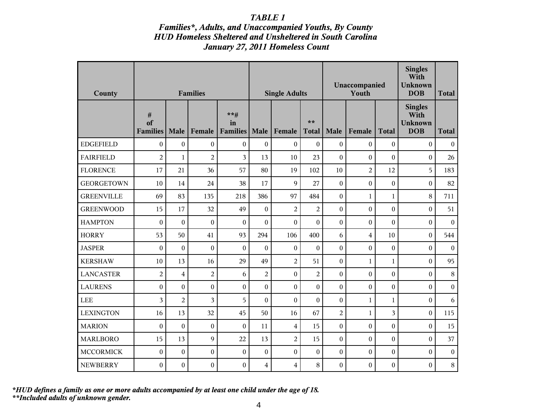### *Families\*, Adults, and Unaccompanied Youths, By County HUD Homeless Sheltered and Unsheltered in South Carolina January 27, 2011 Homeless Count*

| County            |                               |                  | <b>Families</b>  |                                  |                  | <b>Single Adults</b>    |                      |                  | Unaccompanied<br>Youth | <b>Singles</b><br>With<br><b>Unknown</b><br><b>DOB</b> | <b>Total</b>                                           |                  |
|-------------------|-------------------------------|------------------|------------------|----------------------------------|------------------|-------------------------|----------------------|------------------|------------------------|--------------------------------------------------------|--------------------------------------------------------|------------------|
|                   | $\#$<br>of<br><b>Families</b> | Male             | Female           | $***$ #<br>in<br><b>Families</b> | Male             | Female                  | $**$<br><b>Total</b> | Male             | Female                 | <b>Total</b>                                           | <b>Singles</b><br>With<br><b>Unknown</b><br><b>DOB</b> | <b>Total</b>     |
| <b>EDGEFIELD</b>  | $\boldsymbol{0}$              | $\boldsymbol{0}$ | $\boldsymbol{0}$ | $\boldsymbol{0}$                 | $\boldsymbol{0}$ | $\boldsymbol{0}$        | $\mathbf{0}$         | $\boldsymbol{0}$ | $\boldsymbol{0}$       | $\boldsymbol{0}$                                       | $\boldsymbol{0}$                                       | $\boldsymbol{0}$ |
| <b>FAIRFIELD</b>  | $\overline{c}$                | $\mathbf{1}$     | $\overline{2}$   | 3                                | 13               | 10                      | 23                   | $\theta$         | $\theta$               | $\boldsymbol{0}$                                       | $\Omega$                                               | 26               |
| <b>FLORENCE</b>   | 17                            | 21               | 36               | 57                               | 80               | 19                      | 102                  | 10               | $\overline{2}$         | 12                                                     | 5                                                      | 183              |
| <b>GEORGETOWN</b> | 10                            | 14               | 24               | 38                               | 17               | 9                       | 27                   | $\boldsymbol{0}$ | $\boldsymbol{0}$       | $\boldsymbol{0}$                                       | $\theta$                                               | 82               |
| <b>GREENVILLE</b> | 69                            | 83               | 135              | 218                              | 386              | 97                      | 484                  | $\boldsymbol{0}$ | $\mathbf{1}$           | $\mathbf{1}$                                           | 8                                                      | 711              |
| <b>GREENWOOD</b>  | 15                            | 17               | 32               | 49                               | $\boldsymbol{0}$ | $\overline{2}$          | $\overline{2}$       | $\boldsymbol{0}$ | $\overline{0}$         | $\boldsymbol{0}$                                       | $\boldsymbol{0}$                                       | 51               |
| <b>HAMPTON</b>    | $\mathbf{0}$                  | $\boldsymbol{0}$ | $\boldsymbol{0}$ | $\boldsymbol{0}$                 | $\overline{0}$   | $\boldsymbol{0}$        | $\mathbf{0}$         | $\overline{0}$   | $\boldsymbol{0}$       | $\boldsymbol{0}$                                       | $\theta$                                               | $\boldsymbol{0}$ |
| <b>HORRY</b>      | 53                            | 50               | 41               | 93                               | 294              | 106                     | 400                  | 6                | $\overline{4}$         | 10                                                     | $\boldsymbol{0}$                                       | 544              |
| <b>JASPER</b>     | $\boldsymbol{0}$              | $\mathbf{0}$     | $\boldsymbol{0}$ | $\theta$                         | $\boldsymbol{0}$ | $\boldsymbol{0}$        | $\theta$             | $\Omega$         | $\boldsymbol{0}$       | $\boldsymbol{0}$                                       | $\Omega$                                               | $\mathbf{0}$     |
| <b>KERSHAW</b>    | 10                            | 13               | 16               | 29                               | 49               | $\overline{c}$          | 51                   | $\theta$         | $\mathbf{1}$           | $\mathbf{1}$                                           | $\overline{0}$                                         | 95               |
| <b>LANCASTER</b>  | $\overline{2}$                | $\overline{4}$   | $\overline{c}$   | 6                                | $\overline{c}$   | $\boldsymbol{0}$        | $\overline{2}$       | $\boldsymbol{0}$ | $\boldsymbol{0}$       | $\boldsymbol{0}$                                       | $\boldsymbol{0}$                                       | $\,8\,$          |
| <b>LAURENS</b>    | $\boldsymbol{0}$              | $\boldsymbol{0}$ | $\boldsymbol{0}$ | $\mathbf{0}$                     | $\overline{0}$   | $\boldsymbol{0}$        | $\mathbf{0}$         | $\overline{0}$   | $\boldsymbol{0}$       | $\boldsymbol{0}$                                       | $\boldsymbol{0}$                                       | $\boldsymbol{0}$ |
| <b>LEE</b>        | 3                             | $\overline{2}$   | 3                | 5                                | $\boldsymbol{0}$ | $\boldsymbol{0}$        | $\theta$             | $\boldsymbol{0}$ | $\mathbf{1}$           | $\mathbf{1}$                                           | $\theta$                                               | 6                |
| <b>LEXINGTON</b>  | 16                            | 13               | 32               | 45                               | 50               | 16                      | 67                   | $\overline{2}$   | $\mathbf{1}$           | $\overline{3}$                                         | $\boldsymbol{0}$                                       | 115              |
| <b>MARION</b>     | $\mathbf{0}$                  | $\boldsymbol{0}$ | $\boldsymbol{0}$ | $\boldsymbol{0}$                 | 11               | $\overline{\mathbf{4}}$ | 15                   | $\boldsymbol{0}$ | $\mathbf{0}$           | $\boldsymbol{0}$                                       | $\mathbf{0}$                                           | 15               |
| <b>MARLBORO</b>   | 15                            | 13               | 9                | 22                               | 13               | $\overline{2}$          | 15                   | $\boldsymbol{0}$ | $\boldsymbol{0}$       | $\boldsymbol{0}$                                       | $\Omega$                                               | 37               |
| <b>MCCORMICK</b>  | $\boldsymbol{0}$              | $\boldsymbol{0}$ | $\boldsymbol{0}$ | $\boldsymbol{0}$                 | $\boldsymbol{0}$ | $\boldsymbol{0}$        | $\boldsymbol{0}$     | $\boldsymbol{0}$ | $\boldsymbol{0}$       | $\boldsymbol{0}$                                       | $\boldsymbol{0}$                                       | $\boldsymbol{0}$ |
| <b>NEWBERRY</b>   | $\boldsymbol{0}$              | $\boldsymbol{0}$ | $\boldsymbol{0}$ | $\boldsymbol{0}$                 | 4                | 4                       | 8                    | $\boldsymbol{0}$ | $\boldsymbol{0}$       | $\boldsymbol{0}$                                       | $\boldsymbol{0}$                                       | $8\,$            |

*\*\*Included adults of unknown gender. \*HUD defines a family as one or more adults accompanied by at least one child under the age of 18.*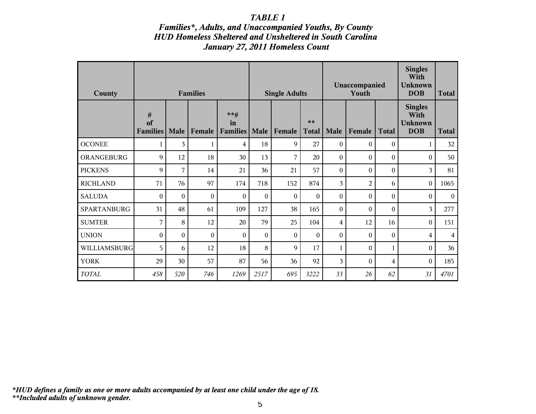### *Families\*, Adults, and Unaccompanied Youths, By County HUD Homeless Sheltered and Unsheltered in South Carolina January 27, 2011 Homeless Count*

| County          |                            |          | <b>Families</b>  |                                  |                  | <b>Single Adults</b> |                    |                  | Unaccompanied<br>Youth | <b>Singles</b><br>With<br><b>Unknown</b><br><b>DOB</b> | <b>Total</b>                                           |              |
|-----------------|----------------------------|----------|------------------|----------------------------------|------------------|----------------------|--------------------|------------------|------------------------|--------------------------------------------------------|--------------------------------------------------------|--------------|
|                 | #<br>of<br><b>Families</b> | Male     | Female           | $***$ #<br>in<br><b>Families</b> | Male             | Female               | **<br><b>Total</b> | Male             | Female                 | <b>Total</b>                                           | <b>Singles</b><br>With<br><b>Unknown</b><br><b>DOB</b> | <b>Total</b> |
| <b>OCONEE</b>   | $\mathbf{1}$               | 3        | $\mathbf{1}$     | 4                                | 18               | 9                    | 27                 | $\Omega$         | $\theta$               | $\boldsymbol{0}$                                       | 1                                                      | 32           |
| ORANGEBURG      | 9                          | 12       | 18               | 30                               | 13               | 7                    | 20                 | $\Omega$         | $\Omega$               | $\Omega$                                               | $\Omega$                                               | 50           |
| <b>PICKENS</b>  | 9                          | 7        | 14               | 21                               | 36               | 21                   | 57                 | $\theta$         | $\theta$               | $\Omega$                                               | 3                                                      | 81           |
| <b>RICHLAND</b> | 71                         | 76       | 97               | 174                              | 718              | 152                  | 874                | 3                | $\overline{2}$         | 6                                                      | $\boldsymbol{0}$                                       | 1065         |
| <b>SALUDA</b>   | $\boldsymbol{0}$           | $\theta$ | $\mathbf{0}$     | $\theta$                         | $\boldsymbol{0}$ | $\theta$             | $\mathbf{0}$       | $\boldsymbol{0}$ | $\boldsymbol{0}$       | $\mathbf{0}$                                           | $\theta$                                               | $\mathbf{0}$ |
| SPARTANBURG     | 31                         | 48       | 61               | 109                              | 127              | 38                   | 165                | $\theta$         | $\theta$               | $\Omega$                                               | 3                                                      | 277          |
| <b>SUMTER</b>   | 7                          | 8        | 12               | 20                               | 79               | 25                   | 104                | 4                | 12                     | 16                                                     | $\Omega$                                               | 151          |
| <b>UNION</b>    | $\boldsymbol{0}$           | $\theta$ | $\boldsymbol{0}$ | $\Omega$                         | $\boldsymbol{0}$ | $\theta$             | $\Omega$           | $\theta$         | $\theta$               | $\mathbf{0}$                                           | 4                                                      | 4            |
| WILLIAMSBURG    | 5                          | 6        | 12               | 18                               | 8                | 9                    | 17                 | 1                | $\theta$               | 1                                                      | $\theta$                                               | 36           |
| <b>YORK</b>     | 29                         | 30       | 57               | 87                               | 56               | 36                   | 92                 | 3                | $\mathbf{0}$           | $\overline{4}$                                         | $\theta$                                               | 185          |
| TOTAL           | 458                        | 520      | 746              | 1269                             | 2517             | 695                  | 3222               | 33               | 26                     | 62                                                     | 31                                                     | 4701         |

*\*\*Included adults of unknown gender. \*HUD defines a family as one or more adults accompanied by at least one child under the age of 18.*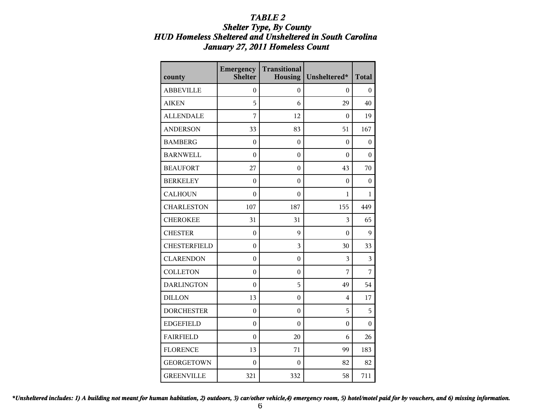### *Shelter Type, By County HUD Homeless Sheltered and Unsheltered in South Carolina January 27, 2011 Homeless Count*

| county              | Emergency<br>Shelter | <b>Transitional</b><br><b>Housing</b> | Unsheltered*     | <b>Total</b> |
|---------------------|----------------------|---------------------------------------|------------------|--------------|
| <b>ABBEVILLE</b>    | 0                    | 0                                     | 0                | 0            |
| <b>AIKEN</b>        | 5                    | 6                                     | 29               | 40           |
| <b>ALLENDALE</b>    | 7                    | 12                                    | $\theta$         | 19           |
| <b>ANDERSON</b>     | 33                   | 83                                    | 51               | 167          |
| <b>BAMBERG</b>      | $\boldsymbol{0}$     | $\boldsymbol{0}$                      | 0                | 0            |
| <b>BARNWELL</b>     | $\overline{0}$       | $\boldsymbol{0}$                      | $\theta$         | $\theta$     |
| <b>BEAUFORT</b>     | 27                   | 0                                     | 43               | 70           |
| <b>BERKELEY</b>     | $\theta$             | $\boldsymbol{0}$                      | $\theta$         | $\theta$     |
| <b>CALHOUN</b>      | $\theta$             | 0                                     | 1                | 1            |
| <b>CHARLESTON</b>   | 107                  | 187                                   | 155              | 449          |
| <b>CHEROKEE</b>     | 31                   | 31                                    | 3                | 65           |
| <b>CHESTER</b>      | $\theta$             | 9                                     | $\theta$         | 9            |
| <b>CHESTERFIELD</b> | $\theta$             | 3                                     | 30               | 33           |
| <b>CLARENDON</b>    | $\theta$             | $\boldsymbol{0}$                      | 3                | 3            |
| <b>COLLETON</b>     | $\theta$             | 0                                     | 7                | 7            |
| <b>DARLINGTON</b>   | $\theta$             | 5                                     | 49               | 54           |
| <b>DILLON</b>       | 13                   | 0                                     | 4                | 17           |
| <b>DORCHESTER</b>   | $\theta$             | $\boldsymbol{0}$                      | 5                | 5            |
| <b>EDGEFIELD</b>    | $\boldsymbol{0}$     | 0                                     | $\boldsymbol{0}$ | 0            |
| <b>FAIRFIELD</b>    | $\theta$             | 20                                    | 6                | 26           |
| <b>FLORENCE</b>     | 13                   | 71                                    | 99               | 183          |
| <b>GEORGETOWN</b>   | $\theta$             | $\theta$                              | 82               | 82           |
| <b>GREENVILLE</b>   | 321                  | 332                                   | 58               | 711          |

*\*Unsheltered includes: 1) A building not meant for human habitation, 2) outdoors, 3) car/other vehicle,4) emergency room, 5) hotel/motel paid for by vouchers, and 6) missing information.*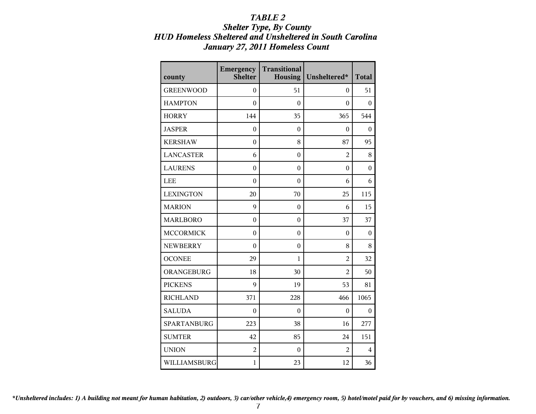### *Shelter Type, By County HUD Homeless Sheltered and Unsheltered in South Carolina January 27, 2011 Homeless Count*

| county             | <b>Emergency</b><br>Shelter | <b>Transitional</b><br><b>Housing</b> | Unsheltered*   | <b>Total</b> |
|--------------------|-----------------------------|---------------------------------------|----------------|--------------|
| <b>GREENWOOD</b>   | 0                           | 51                                    | 0              | 51           |
| <b>HAMPTON</b>     | $\theta$                    | $\theta$                              | $\theta$       | 0            |
| <b>HORRY</b>       | 144                         | 35                                    | 365            | 544          |
| <b>JASPER</b>      | $\theta$                    | $\theta$                              | 0              | $\Omega$     |
| <b>KERSHAW</b>     | $\theta$                    | 8                                     | 87             | 95           |
| <b>LANCASTER</b>   | 6                           | $\boldsymbol{0}$                      | $\overline{2}$ | 8            |
| <b>LAURENS</b>     | $\boldsymbol{0}$            | $\boldsymbol{0}$                      | $\theta$       | $\mathbf{0}$ |
| <b>LEE</b>         | $\theta$                    | $\theta$                              | 6              | 6            |
| <b>LEXINGTON</b>   | 20                          | 70                                    | 25             | 115          |
| <b>MARION</b>      | 9                           | $\boldsymbol{0}$                      | 6              | 15           |
| <b>MARLBORO</b>    | $\theta$                    | $\boldsymbol{0}$                      | 37             | 37           |
| <b>MCCORMICK</b>   | $\theta$                    | $\boldsymbol{0}$                      | $\theta$       | $\theta$     |
| <b>NEWBERRY</b>    | $\theta$                    | $\boldsymbol{0}$                      | 8              | 8            |
| <b>OCONEE</b>      | 29                          | 1                                     | $\overline{2}$ | 32           |
| ORANGEBURG         | 18                          | 30                                    | $\overline{2}$ | 50           |
| <b>PICKENS</b>     | 9                           | 19                                    | 53             | 81           |
| <b>RICHLAND</b>    | 371                         | 228                                   | 466            | 1065         |
| <b>SALUDA</b>      | $\theta$                    | $\theta$                              | $\theta$       | $\theta$     |
| <b>SPARTANBURG</b> | 223                         | 38                                    | 16             | 277          |
| <b>SUMTER</b>      | 42                          | 85                                    | 24             | 151          |
| <b>UNION</b>       | $\overline{c}$              | $\boldsymbol{0}$                      | 2              | 4            |
| WILLIAMSBURG       | $\mathbf{1}$                | 23                                    | 12             | 36           |

*\*Unsheltered includes: 1) A building not meant for human habitation, 2) outdoors, 3) car/other vehicle,4) emergency room, 5) hotel/motel paid for by vouchers, and 6) missing information.*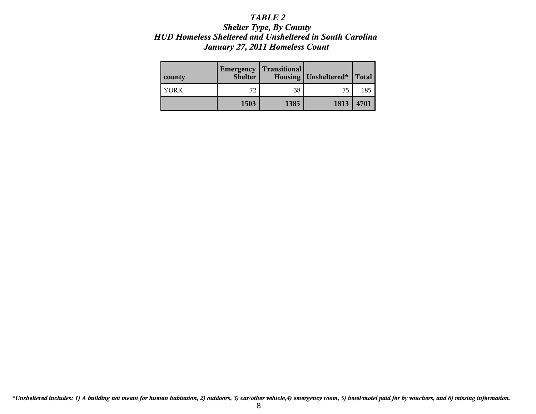### *Shelter Type, By County HUD Homeless Sheltered and Unsheltered in South Carolina January 27, 2011 Homeless Count*

| county | Emergency<br><b>Shelter</b> | <b>Transitional</b> | Housing   Unsheltered* | <b>Total</b> |
|--------|-----------------------------|---------------------|------------------------|--------------|
| YORK   | 72                          | 38                  | 75                     | 185          |
|        | 1503                        | 1385                | 1813                   | 4701         |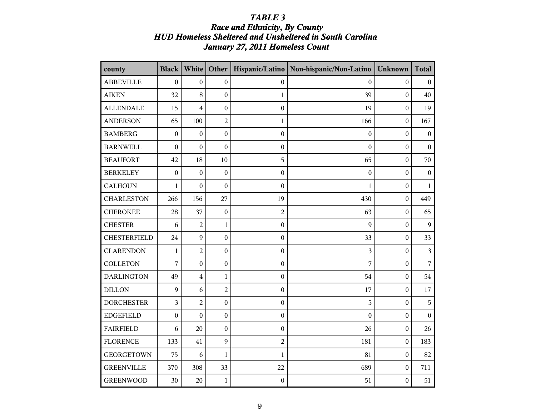## *Race and Ethnicity, By County HUD Homeless Sheltered and Unsheltered in South Carolina January 27, 2011 Homeless Count*

| county              | <b>Black</b>     | White                   | Other            |                  | Hispanic/Latino   Non-hispanic/Non-Latino | <b>Unknown</b>   | <b>Total</b>     |
|---------------------|------------------|-------------------------|------------------|------------------|-------------------------------------------|------------------|------------------|
| <b>ABBEVILLE</b>    | $\boldsymbol{0}$ | $\mathbf{0}$            | $\boldsymbol{0}$ | $\boldsymbol{0}$ | $\boldsymbol{0}$                          | $\boldsymbol{0}$ | $\boldsymbol{0}$ |
| <b>AIKEN</b>        | 32               | 8                       | $\overline{0}$   | $\mathbf{1}$     | 39                                        | $\boldsymbol{0}$ | 40               |
| <b>ALLENDALE</b>    | 15               | $\overline{\mathbf{4}}$ | $\overline{0}$   | $\boldsymbol{0}$ | 19                                        | $\boldsymbol{0}$ | 19               |
| <b>ANDERSON</b>     | 65               | 100                     | $\overline{2}$   | $\mathbf{1}$     | 166                                       | $\boldsymbol{0}$ | 167              |
| <b>BAMBERG</b>      | $\boldsymbol{0}$ | $\boldsymbol{0}$        | $\overline{0}$   | $\boldsymbol{0}$ | $\boldsymbol{0}$                          | $\boldsymbol{0}$ | $\boldsymbol{0}$ |
| <b>BARNWELL</b>     | $\boldsymbol{0}$ | $\boldsymbol{0}$        | $\boldsymbol{0}$ | $\boldsymbol{0}$ | $\boldsymbol{0}$                          | $\boldsymbol{0}$ | $\mathbf{0}$     |
| <b>BEAUFORT</b>     | 42               | 18                      | 10               | 5                | 65                                        | $\boldsymbol{0}$ | 70               |
| <b>BERKELEY</b>     | $\boldsymbol{0}$ | $\boldsymbol{0}$        | $\mathbf{0}$     | $\boldsymbol{0}$ | $\boldsymbol{0}$                          | $\boldsymbol{0}$ | $\boldsymbol{0}$ |
| <b>CALHOUN</b>      | $\mathbf{1}$     | $\boldsymbol{0}$        | $\boldsymbol{0}$ | $\boldsymbol{0}$ | 1                                         | $\boldsymbol{0}$ | $\mathbf{1}$     |
| <b>CHARLESTON</b>   | 266              | 156                     | 27               | 19               | 430                                       | $\boldsymbol{0}$ | 449              |
| <b>CHEROKEE</b>     | 28               | 37                      | $\mathbf{0}$     | $\overline{c}$   | 63                                        | $\boldsymbol{0}$ | 65               |
| <b>CHESTER</b>      | 6                | $\overline{2}$          | $\mathbf{1}$     | $\boldsymbol{0}$ | 9                                         | $\mathbf{0}$     | 9                |
| <b>CHESTERFIELD</b> | 24               | 9                       | $\boldsymbol{0}$ | $\boldsymbol{0}$ | 33                                        | $\boldsymbol{0}$ | 33               |
| <b>CLARENDON</b>    | 1                | $\overline{2}$          | $\boldsymbol{0}$ | $\boldsymbol{0}$ | 3                                         | $\mathbf{0}$     | $\overline{3}$   |
| <b>COLLETON</b>     | 7                | $\mathbf{0}$            | $\boldsymbol{0}$ | $\boldsymbol{0}$ | 7                                         | $\boldsymbol{0}$ | $\overline{7}$   |
| <b>DARLINGTON</b>   | 49               | $\overline{\mathbf{4}}$ | $\mathbf{1}$     | $\boldsymbol{0}$ | 54                                        | $\boldsymbol{0}$ | 54               |
| <b>DILLON</b>       | 9                | 6                       | $\overline{2}$   | $\boldsymbol{0}$ | 17                                        | $\mathbf{0}$     | 17               |
| <b>DORCHESTER</b>   | 3                | $\overline{2}$          | $\boldsymbol{0}$ | $\boldsymbol{0}$ | 5                                         | $\mathbf{0}$     | 5                |
| <b>EDGEFIELD</b>    | $\boldsymbol{0}$ | $\boldsymbol{0}$        | $\boldsymbol{0}$ | $\boldsymbol{0}$ | $\boldsymbol{0}$                          | $\mathbf{0}$     | $\mathbf{0}$     |
| <b>FAIRFIELD</b>    | 6                | 20                      | $\boldsymbol{0}$ | $\boldsymbol{0}$ | 26                                        | $\boldsymbol{0}$ | 26               |
| <b>FLORENCE</b>     | 133              | 41                      | $\mathbf{Q}$     | $\overline{c}$   | 181                                       | $\mathbf{0}$     | 183              |
| <b>GEORGETOWN</b>   | 75               | 6                       | $\mathbf{1}$     | $\mathbf{1}$     | 81                                        | $\boldsymbol{0}$ | 82               |
| <b>GREENVILLE</b>   | 370              | 308                     | 33               | 22               | 689                                       | $\boldsymbol{0}$ | 711              |
| <b>GREENWOOD</b>    | 30               | 20                      | $\mathbf{1}$     | $\boldsymbol{0}$ | 51                                        | $\boldsymbol{0}$ | 51               |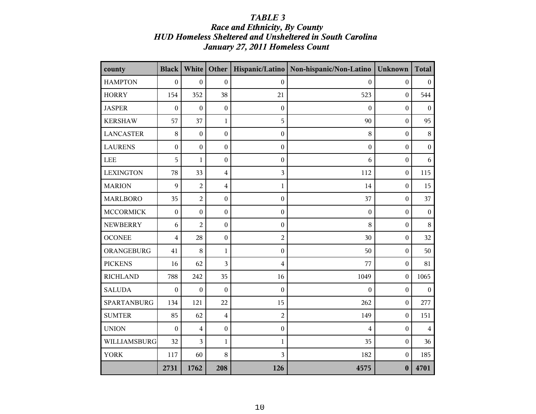## *Race and Ethnicity, By County HUD Homeless Sheltered and Unsheltered in South Carolina January 27, 2011 Homeless Count*

| county             | <b>Black</b>     | White            | Other            |                  | Hispanic/Latino   Non-hispanic/Non-Latino | <b>Unknown</b>   | <b>Total</b>     |
|--------------------|------------------|------------------|------------------|------------------|-------------------------------------------|------------------|------------------|
| <b>HAMPTON</b>     | $\boldsymbol{0}$ | $\boldsymbol{0}$ | $\boldsymbol{0}$ | $\boldsymbol{0}$ | $\boldsymbol{0}$                          | $\boldsymbol{0}$ | $\boldsymbol{0}$ |
| <b>HORRY</b>       | 154              | 352              | 38               | 21               | 523                                       | $\boldsymbol{0}$ | 544              |
| <b>JASPER</b>      | $\boldsymbol{0}$ | $\boldsymbol{0}$ | $\boldsymbol{0}$ | $\boldsymbol{0}$ | $\boldsymbol{0}$                          | $\boldsymbol{0}$ | $\boldsymbol{0}$ |
| <b>KERSHAW</b>     | 57               | 37               | $\mathbf{1}$     | 5                | 90                                        | $\boldsymbol{0}$ | 95               |
| <b>LANCASTER</b>   | 8                | $\boldsymbol{0}$ | $\boldsymbol{0}$ | $\boldsymbol{0}$ | 8                                         | $\boldsymbol{0}$ | $\,8\,$          |
| <b>LAURENS</b>     | $\boldsymbol{0}$ | $\boldsymbol{0}$ | $\boldsymbol{0}$ | $\boldsymbol{0}$ | $\boldsymbol{0}$                          | $\boldsymbol{0}$ | $\boldsymbol{0}$ |
| ${\rm LEE}$        | 5                | $\mathbf{1}$     | $\boldsymbol{0}$ | $\boldsymbol{0}$ | 6                                         | $\boldsymbol{0}$ | 6                |
| <b>LEXINGTON</b>   | 78               | 33               | $\overline{4}$   | 3                | 112                                       | $\boldsymbol{0}$ | 115              |
| <b>MARION</b>      | 9                | $\overline{2}$   | $\overline{4}$   | $\mathbf{1}$     | 14                                        | $\boldsymbol{0}$ | 15               |
| <b>MARLBORO</b>    | 35               | $\overline{2}$   | $\boldsymbol{0}$ | $\boldsymbol{0}$ | 37                                        | $\boldsymbol{0}$ | 37               |
| <b>MCCORMICK</b>   | $\boldsymbol{0}$ | $\boldsymbol{0}$ | $\boldsymbol{0}$ | $\boldsymbol{0}$ | $\boldsymbol{0}$                          | $\boldsymbol{0}$ | $\boldsymbol{0}$ |
| <b>NEWBERRY</b>    | 6                | $\overline{2}$   | $\boldsymbol{0}$ | $\boldsymbol{0}$ | 8                                         | $\bf{0}$         | 8                |
| <b>OCONEE</b>      | 4                | 28               | $\boldsymbol{0}$ | $\overline{c}$   | 30                                        | $\boldsymbol{0}$ | 32               |
| ORANGEBURG         | 41               | 8                | $\mathbf{1}$     | $\boldsymbol{0}$ | 50                                        | $\boldsymbol{0}$ | 50               |
| <b>PICKENS</b>     | 16               | 62               | 3                | 4                | 77                                        | $\boldsymbol{0}$ | 81               |
| <b>RICHLAND</b>    | 788              | 242              | 35               | 16               | 1049                                      | $\boldsymbol{0}$ | 1065             |
| <b>SALUDA</b>      | $\boldsymbol{0}$ | $\boldsymbol{0}$ | $\boldsymbol{0}$ | $\boldsymbol{0}$ | $\boldsymbol{0}$                          | $\boldsymbol{0}$ | $\boldsymbol{0}$ |
| <b>SPARTANBURG</b> | 134              | 121              | 22               | 15               | 262                                       | $\boldsymbol{0}$ | 277              |
| <b>SUMTER</b>      | 85               | 62               | $\overline{4}$   | $\overline{c}$   | 149                                       | $\boldsymbol{0}$ | 151              |
| <b>UNION</b>       | $\boldsymbol{0}$ | $\overline{4}$   | $\boldsymbol{0}$ | $\boldsymbol{0}$ | 4                                         | $\boldsymbol{0}$ | $\overline{4}$   |
| WILLIAMSBURG       | 32               | 3                | 1                | $\mathbf{1}$     | 35                                        | $\boldsymbol{0}$ | 36               |
| <b>YORK</b>        | 117              | 60               | 8                | 3                | 182                                       | $\boldsymbol{0}$ | 185              |
|                    | 2731             | 1762             | 208              | 126              | 4575                                      | $\bf{0}$         | 4701             |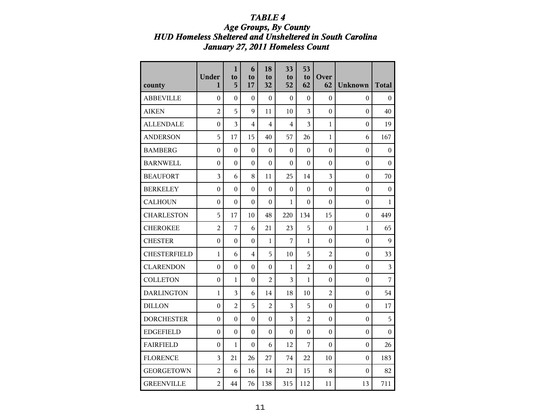## *TABLE 4 Age Groups, By County HUD Homeless Sheltered and Unsheltered in South Carolina January 27, 2011 Homeless Count*

|                     | Under<br>$\mathbf{1}$ | $\mathbf{1}$<br>to<br>5 | 6<br>to<br>17    | 18<br>to<br>32   | 33<br>to<br>52          | 53<br>to<br>62   | Over<br>62       |                  | <b>Total</b>     |
|---------------------|-----------------------|-------------------------|------------------|------------------|-------------------------|------------------|------------------|------------------|------------------|
| county              |                       |                         |                  |                  |                         |                  |                  | <b>Unknown</b>   |                  |
| <b>ABBEVILLE</b>    | $\boldsymbol{0}$      | $\overline{0}$          | $\theta$         | $\boldsymbol{0}$ | $\boldsymbol{0}$        | $\theta$         | $\overline{0}$   | $\boldsymbol{0}$ | $\boldsymbol{0}$ |
| <b>AIKEN</b>        | $\overline{2}$        | 5                       | 9                | 11               | 10                      | 3                | $\mathbf{0}$     | $\boldsymbol{0}$ | 40               |
| <b>ALLENDALE</b>    | $\boldsymbol{0}$      | 3                       | 4                | 4                | 4                       | 3                | $\mathbf{1}$     | $\boldsymbol{0}$ | 19               |
| <b>ANDERSON</b>     | 5                     | 17                      | 15               | 40               | 57                      | 26               | 1                | 6                | 167              |
| <b>BAMBERG</b>      | 0                     | $\theta$                | $\theta$         | 0                | 0                       | $\theta$         | 0                | 0                | $\boldsymbol{0}$ |
| <b>BARNWELL</b>     | 0                     | $\boldsymbol{0}$        | $\theta$         | 0                | 0                       | $\boldsymbol{0}$ | 0                | 0                | $\Omega$         |
| <b>BEAUFORT</b>     | 3                     | 6                       | 8                | 11               | 25                      | 14               | $\overline{3}$   | $\boldsymbol{0}$ | 70               |
| <b>BERKELEY</b>     | $\boldsymbol{0}$      | $\mathbf{0}$            | $\theta$         | 0                | 0                       | $\theta$         | 0                | 0                | $\boldsymbol{0}$ |
| <b>CALHOUN</b>      | $\boldsymbol{0}$      | $\mathbf{0}$            | $\Omega$         | 0                | 1                       | $\Omega$         | $\theta$         | 0                | 1                |
| <b>CHARLESTON</b>   | 5                     | 17                      | 10               | 48               | 220                     | 134              | 15               | 0                | 449              |
| <b>CHEROKEE</b>     | $\overline{2}$        | 7                       | 6                | 21               | 23                      | 5                | $\boldsymbol{0}$ | $\mathbf{1}$     | 65               |
| <b>CHESTER</b>      | $\boldsymbol{0}$      | $\mathbf{0}$            | $\boldsymbol{0}$ | 1                | 7                       | $\mathbf{1}$     | $\overline{0}$   | $\boldsymbol{0}$ | 9                |
| <b>CHESTERFIELD</b> | $\mathbf{1}$          | 6                       | $\overline{4}$   | 5                | 10                      | 5                | $\overline{2}$   | $\boldsymbol{0}$ | 33               |
| <b>CLARENDON</b>    | $\mathbf{0}$          | $\mathbf{0}$            | $\Omega$         | $\theta$         | 1                       | $\overline{2}$   | $\theta$         | 0                | 3                |
| <b>COLLETON</b>     | $\mathbf{0}$          | 1                       | $\Omega$         | $\overline{2}$   | $\overline{\mathbf{3}}$ | 1                | $\theta$         | 0                | $\overline{7}$   |
| <b>DARLINGTON</b>   | $\mathbf{1}$          | 3                       | 6                | 14               | 18                      | 10               | $\overline{2}$   | $\boldsymbol{0}$ | 54               |
| <b>DILLON</b>       | $\mathbf{0}$          | $\overline{2}$          | 5                | $\overline{2}$   | 3                       | 5                | $\overline{0}$   | $\mathbf{0}$     | 17               |
| <b>DORCHESTER</b>   | $\mathbf{0}$          | $\mathbf{0}$            | $\boldsymbol{0}$ | $\boldsymbol{0}$ | $\overline{\mathbf{3}}$ | $\overline{2}$   | $\mathbf{0}$     | $\boldsymbol{0}$ | 5                |
| <b>EDGEFIELD</b>    | $\mathbf{0}$          | $\mathbf{0}$            | $\theta$         | $\boldsymbol{0}$ | 0                       | $\theta$         | $\mathbf{0}$     | 0                | $\boldsymbol{0}$ |
| <b>FAIRFIELD</b>    | $\boldsymbol{0}$      | 1                       | $\Omega$         | 6                | 12                      | 7                | $\theta$         | 0                | 26               |
| <b>FLORENCE</b>     | $\overline{3}$        | 21                      | 26               | 27               | 74                      | 22               | 10               | 0                | 183              |
| <b>GEORGETOWN</b>   | $\overline{a}$        | 6                       | 16               | 14               | 21                      | 15               | 8                | $\boldsymbol{0}$ | 82               |
| <b>GREENVILLE</b>   | $\overline{a}$        | 44                      | 76               | 138              | 315                     | 112              | 11               | 13               | 711              |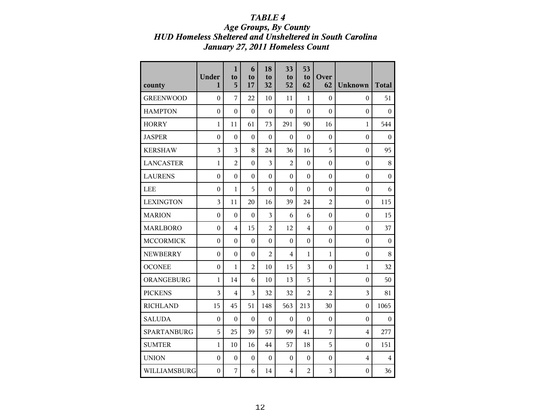## *TABLE 4 Age Groups, By County HUD Homeless Sheltered and Unsheltered in South Carolina January 27, 2011 Homeless Count*

| county             | <b>Under</b><br>$\mathbf{1}$ | $\mathbf{1}$<br>to<br>5 | 6<br>to<br>17    | 18<br>to<br>32   | 33<br>to<br>52   | 53<br>to<br>62   | Over<br>62       | <b>Unknown</b>   | <b>Total</b>            |
|--------------------|------------------------------|-------------------------|------------------|------------------|------------------|------------------|------------------|------------------|-------------------------|
| <b>GREENWOOD</b>   | $\mathbf{0}$                 | 7                       | 22               | 10               | 11               | $\mathbf{1}$     | $\boldsymbol{0}$ | $\boldsymbol{0}$ | 51                      |
| <b>HAMPTON</b>     | $\boldsymbol{0}$             | $\theta$                | $\theta$         | $\theta$         | $\theta$         | $\overline{0}$   | $\theta$         | $\boldsymbol{0}$ | $\Omega$                |
| <b>HORRY</b>       | $\mathbf{1}$                 | 11                      | 61               | 73               | 291              | 90               | 16               | $\mathbf{1}$     | 544                     |
| <b>JASPER</b>      | $\boldsymbol{0}$             | $\boldsymbol{0}$        | $\boldsymbol{0}$ | $\boldsymbol{0}$ | $\boldsymbol{0}$ | $\mathbf{0}$     | $\boldsymbol{0}$ | $\boldsymbol{0}$ | $\boldsymbol{0}$        |
| <b>KERSHAW</b>     | $\overline{3}$               | 3                       | 8                | 24               | 36               | 16               | 5                | $\boldsymbol{0}$ | 95                      |
| <b>LANCASTER</b>   | $\mathbf{1}$                 | $\overline{2}$          | $\overline{0}$   | 3                | $\overline{2}$   | $\boldsymbol{0}$ | $\boldsymbol{0}$ | $\mathbf{0}$     | 8                       |
| <b>LAURENS</b>     | $\theta$                     | $\theta$                | $\theta$         | $\theta$         | $\boldsymbol{0}$ | $\overline{0}$   | $\theta$         | $\boldsymbol{0}$ | $\theta$                |
| LEE                | $\theta$                     | $\mathbf{1}$            | 5                | $\theta$         | $\theta$         | $\theta$         | $\theta$         | $\boldsymbol{0}$ | 6                       |
| <b>LEXINGTON</b>   | 3                            | 11                      | 20               | 16               | 39               | 24               | $\overline{c}$   | $\boldsymbol{0}$ | 115                     |
| <b>MARION</b>      | $\mathbf{0}$                 | $\boldsymbol{0}$        | $\boldsymbol{0}$ | 3                | 6                | 6                | $\boldsymbol{0}$ | $\boldsymbol{0}$ | 15                      |
| <b>MARLBORO</b>    | $\boldsymbol{0}$             | $\overline{4}$          | 15               | $\overline{2}$   | 12               | $\overline{4}$   | $\boldsymbol{0}$ | $\boldsymbol{0}$ | 37                      |
| <b>MCCORMICK</b>   | $\boldsymbol{0}$             | $\theta$                | $\boldsymbol{0}$ | $\boldsymbol{0}$ | $\boldsymbol{0}$ | $\overline{0}$   | $\theta$         | $\mathbf{0}$     | $\theta$                |
| <b>NEWBERRY</b>    | $\boldsymbol{0}$             | $\overline{0}$          | $\mathbf{0}$     | $\overline{2}$   | $\overline{4}$   | 1                | 1                | $\mathbf{0}$     | 8                       |
| <b>OCONEE</b>      | $\theta$                     | $\mathbf{1}$            | $\overline{2}$   | 10               | 15               | $\overline{3}$   | $\theta$         | 1                | 32                      |
| ORANGEBURG         | $\mathbf{1}$                 | 14                      | 6                | 10               | 13               | 5                | $\mathbf{1}$     | $\boldsymbol{0}$ | 50                      |
| <b>PICKENS</b>     | $\overline{3}$               | $\overline{4}$          | 3                | 32               | 32               | $\overline{2}$   | $\overline{2}$   | 3                | 81                      |
| <b>RICHLAND</b>    | 15                           | 45                      | 51               | 148              | 563              | 213              | 30               | $\mathbf{0}$     | 1065                    |
| <b>SALUDA</b>      | $\mathbf{0}$                 | $\boldsymbol{0}$        | $\boldsymbol{0}$ | $\boldsymbol{0}$ | $\boldsymbol{0}$ | $\boldsymbol{0}$ | $\boldsymbol{0}$ | $\mathbf{0}$     | $\theta$                |
| <b>SPARTANBURG</b> | 5                            | 25                      | 39               | 57               | 99               | 41               | 7                | 4                | 277                     |
| <b>SUMTER</b>      | 1                            | 10                      | 16               | 44               | 57               | 18               | 5                | $\theta$         | 151                     |
| <b>UNION</b>       | $\mathbf{0}$                 | $\boldsymbol{0}$        | $\boldsymbol{0}$ | $\boldsymbol{0}$ | $\boldsymbol{0}$ | $\boldsymbol{0}$ | $\boldsymbol{0}$ | $\overline{4}$   | $\overline{\mathbf{4}}$ |
| WILLIAMSBURG       | $\boldsymbol{0}$             | 7                       | 6                | 14               | $\overline{4}$   | $\overline{2}$   | $\overline{3}$   | $\boldsymbol{0}$ | 36                      |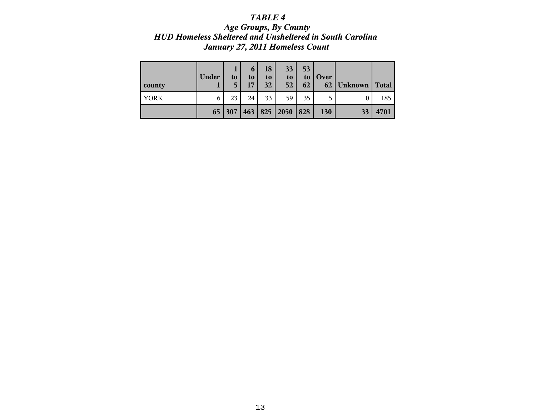## *TABLE 4 Age Groups, By County HUD Homeless Sheltered and Unsheltered in South Carolina January 27, 2011 Homeless Count*

| county      | Under | to<br>5 | $\boldsymbol{\mathfrak{b}}$<br>to<br>17 | 18<br>to<br>32 | 33<br>to<br>52 | 53<br>to<br>62 | Over<br>62 | Unknown | <b>Total</b> |
|-------------|-------|---------|-----------------------------------------|----------------|----------------|----------------|------------|---------|--------------|
| <b>YORK</b> | 6     | 23      | 24                                      | 33             | 59             | 35             | 5          |         | 185          |
|             | 65    | 307     |                                         | 463   825      | 2050           | 828            | 130        | 33      | 4701         |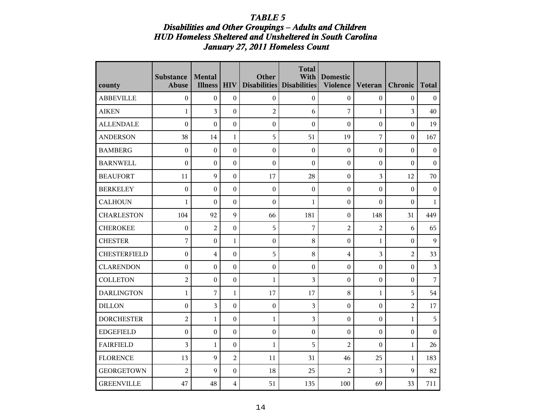#### *Disabilities and Other Groupings - Adults and Children HUD Homeless Sheltered and Unsheltered in South Carolina January 27, 2011 Homeless Count*

| county              | <b>Substance</b><br><b>Abuse</b> | <b>Mental</b><br><b>Illness</b> | <b>HIV</b>       | Other            | <b>Total</b><br>With<br>Disabilities Disabilities | <b>Domestic</b><br><b>Violence</b> | Veteran          | Chronic          | <b>Total</b>            |
|---------------------|----------------------------------|---------------------------------|------------------|------------------|---------------------------------------------------|------------------------------------|------------------|------------------|-------------------------|
| <b>ABBEVILLE</b>    | $\boldsymbol{0}$                 | $\boldsymbol{0}$                | $\boldsymbol{0}$ | $\boldsymbol{0}$ | $\boldsymbol{0}$                                  | $\boldsymbol{0}$                   | $\boldsymbol{0}$ | $\boldsymbol{0}$ | $\boldsymbol{0}$        |
| <b>AIKEN</b>        | 1                                | 3                               | $\boldsymbol{0}$ | $\overline{c}$   | 6                                                 | 7                                  | 1                | $\overline{3}$   | 40                      |
| <b>ALLENDALE</b>    | $\boldsymbol{0}$                 | $\mathbf{0}$                    | $\mathbf{0}$     | $\boldsymbol{0}$ | $\mathbf{0}$                                      | $\boldsymbol{0}$                   | $\boldsymbol{0}$ | $\boldsymbol{0}$ | 19                      |
| <b>ANDERSON</b>     | 38                               | 14                              | $\mathbf{1}$     | 5                | 51                                                | 19                                 | 7                | $\boldsymbol{0}$ | 167                     |
| <b>BAMBERG</b>      | $\boldsymbol{0}$                 | $\boldsymbol{0}$                | $\boldsymbol{0}$ | $\boldsymbol{0}$ | $\boldsymbol{0}$                                  | $\boldsymbol{0}$                   | $\boldsymbol{0}$ | $\boldsymbol{0}$ | $\boldsymbol{0}$        |
| <b>BARNWELL</b>     | $\mathbf{0}$                     | $\boldsymbol{0}$                | $\boldsymbol{0}$ | $\boldsymbol{0}$ | $\boldsymbol{0}$                                  | $\boldsymbol{0}$                   | $\boldsymbol{0}$ | $\boldsymbol{0}$ | $\boldsymbol{0}$        |
| <b>BEAUFORT</b>     | 11                               | $\mathbf Q$                     | $\boldsymbol{0}$ | 17               | 28                                                | $\boldsymbol{0}$                   | 3                | 12               | 70                      |
| <b>BERKELEY</b>     | $\boldsymbol{0}$                 | $\mathbf{0}$                    | $\boldsymbol{0}$ | $\boldsymbol{0}$ | $\boldsymbol{0}$                                  | $\boldsymbol{0}$                   | $\boldsymbol{0}$ | $\boldsymbol{0}$ | $\boldsymbol{0}$        |
| <b>CALHOUN</b>      | $\mathbf{1}$                     | $\overline{0}$                  | $\boldsymbol{0}$ | $\boldsymbol{0}$ | $\mathbf{1}$                                      | $\boldsymbol{0}$                   | $\boldsymbol{0}$ | $\boldsymbol{0}$ | $\mathbf{1}$            |
| <b>CHARLESTON</b>   | 104                              | 92                              | 9                | 66               | 181                                               | $\boldsymbol{0}$                   | 148              | 31               | 449                     |
| <b>CHEROKEE</b>     | $\boldsymbol{0}$                 | $\overline{2}$                  | $\boldsymbol{0}$ | 5                | $\overline{7}$                                    | $\overline{2}$                     | $\overline{2}$   | 6                | 65                      |
| <b>CHESTER</b>      | $\overline{7}$                   | $\mathbf{0}$                    | $\mathbf 1$      | $\boldsymbol{0}$ | 8                                                 | $\mathbf{0}$                       | $\mathbf 1$      | $\boldsymbol{0}$ | 9                       |
| <b>CHESTERFIELD</b> | $\boldsymbol{0}$                 | 4                               | $\boldsymbol{0}$ | 5                | $\,8\,$                                           | 4                                  | 3                | $\overline{c}$   | 33                      |
| <b>CLARENDON</b>    | $\boldsymbol{0}$                 | $\theta$                        | $\boldsymbol{0}$ | $\boldsymbol{0}$ | $\boldsymbol{0}$                                  | $\boldsymbol{0}$                   | $\boldsymbol{0}$ | $\boldsymbol{0}$ | $\overline{\mathbf{3}}$ |
| <b>COLLETON</b>     | $\overline{c}$                   | $\boldsymbol{0}$                | $\boldsymbol{0}$ | $\mathbf{1}$     | 3                                                 | $\boldsymbol{0}$                   | $\boldsymbol{0}$ | $\boldsymbol{0}$ | $\overline{7}$          |
| <b>DARLINGTON</b>   | $\mathbf{1}$                     | 7                               | $\mathbf{1}$     | 17               | 17                                                | 8                                  | 1                | 5                | 54                      |
| <b>DILLON</b>       | $\boldsymbol{0}$                 | 3                               | $\boldsymbol{0}$ | $\boldsymbol{0}$ | 3                                                 | $\boldsymbol{0}$                   | $\boldsymbol{0}$ | $\overline{2}$   | 17                      |
| <b>DORCHESTER</b>   | $\overline{2}$                   | $\mathbf{1}$                    | $\boldsymbol{0}$ | $\mathbf{1}$     | 3                                                 | $\boldsymbol{0}$                   | $\theta$         | $\mathbf{1}$     | 5                       |
| <b>EDGEFIELD</b>    | $\boldsymbol{0}$                 | $\boldsymbol{0}$                | $\boldsymbol{0}$ | $\boldsymbol{0}$ | $\boldsymbol{0}$                                  | $\boldsymbol{0}$                   | $\boldsymbol{0}$ | $\boldsymbol{0}$ | $\mathbf{0}$            |
| <b>FAIRFIELD</b>    | 3                                | $\mathbf{1}$                    | $\boldsymbol{0}$ | $\mathbf{1}$     | 5                                                 | $\overline{2}$                     | $\boldsymbol{0}$ | $\mathbf{1}$     | 26                      |
| <b>FLORENCE</b>     | 13                               | 9                               | $\overline{2}$   | 11               | 31                                                | 46                                 | 25               | $\mathbf{1}$     | 183                     |
| <b>GEORGETOWN</b>   | $\overline{c}$                   | $\mathbf Q$                     | $\boldsymbol{0}$ | 18               | 25                                                | $\overline{c}$                     | 3                | 9                | 82                      |
| <b>GREENVILLE</b>   | 47                               | 48                              | $\overline{4}$   | 51               | 135                                               | 100                                | 69               | 33               | 711                     |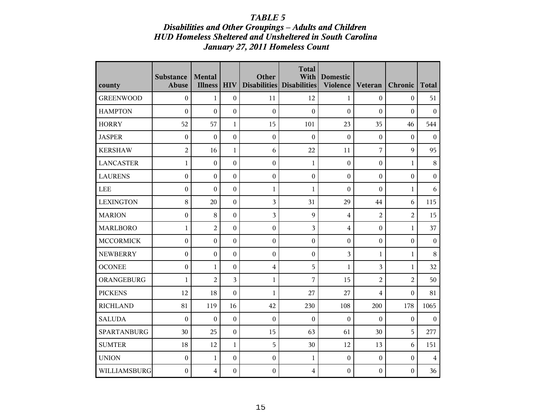### *Disabilities and Other Groupings - Adults and Children HUD Homeless Sheltered and Unsheltered in South Carolina January 27, 2011 Homeless Count*

| county           | <b>Substance</b><br><b>Abuse</b> | Mental<br><b>Illness</b> | <b>HIV</b>       | Other                   | <b>Total</b><br>With<br>Disabilities Disabilities | <b>Domestic</b><br>Violence | <b>Veteran</b>   | Chronic          | <b>Total</b>     |
|------------------|----------------------------------|--------------------------|------------------|-------------------------|---------------------------------------------------|-----------------------------|------------------|------------------|------------------|
| <b>GREENWOOD</b> | $\boldsymbol{0}$                 | 1                        | $\boldsymbol{0}$ | 11                      | 12                                                | $\mathbf{1}$                | $\mathbf{0}$     | $\mathbf{0}$     | 51               |
| <b>HAMPTON</b>   | $\mathbf{0}$                     | $\overline{0}$           | $\mathbf{0}$     | $\boldsymbol{0}$        | $\theta$                                          | $\boldsymbol{0}$            | $\mathbf{0}$     | $\boldsymbol{0}$ | $\mathbf{0}$     |
| <b>HORRY</b>     | 52                               | 57                       | $\mathbf{1}$     | 15                      | 101                                               | 23                          | 35               | 46               | 544              |
| <b>JASPER</b>    | $\boldsymbol{0}$                 | $\boldsymbol{0}$         | $\boldsymbol{0}$ | $\boldsymbol{0}$        | $\boldsymbol{0}$                                  | $\boldsymbol{0}$            | $\mathbf{0}$     | $\boldsymbol{0}$ | $\mathbf{0}$     |
| <b>KERSHAW</b>   | $\overline{2}$                   | 16                       | $\mathbf{1}$     | $\boldsymbol{6}$        | 22                                                | 11                          | $\sqrt{ }$       | 9                | 95               |
| <b>LANCASTER</b> | $\mathbf 1$                      | $\mathbf{0}$             | $\boldsymbol{0}$ | $\boldsymbol{0}$        | $\mathbf{1}$                                      | $\boldsymbol{0}$            | $\boldsymbol{0}$ | $\mathbf{1}$     | 8                |
| <b>LAURENS</b>   | $\boldsymbol{0}$                 | $\overline{0}$           | $\boldsymbol{0}$ | $\boldsymbol{0}$        | $\boldsymbol{0}$                                  | $\boldsymbol{0}$            | $\mathbf{0}$     | $\boldsymbol{0}$ | $\boldsymbol{0}$ |
| LEE              | $\boldsymbol{0}$                 | $\theta$                 | $\boldsymbol{0}$ | $\mathbf{1}$            | $\mathbf{1}$                                      | $\boldsymbol{0}$            | $\theta$         | $\mathbf{1}$     | 6                |
| <b>LEXINGTON</b> | 8                                | 20                       | $\boldsymbol{0}$ | 3                       | 31                                                | 29                          | 44               | 6                | 115              |
| <b>MARION</b>    | $\boldsymbol{0}$                 | 8                        | $\boldsymbol{0}$ | 3                       | 9                                                 | $\overline{4}$              | $\overline{2}$   | $\overline{2}$   | 15               |
| <b>MARLBORO</b>  | $\mathbf 1$                      | $\overline{a}$           | $\boldsymbol{0}$ | $\boldsymbol{0}$        | 3                                                 | 4                           | $\boldsymbol{0}$ | $\mathbf{1}$     | 37               |
| <b>MCCORMICK</b> | $\boldsymbol{0}$                 | $\mathbf{0}$             | $\boldsymbol{0}$ | $\boldsymbol{0}$        | $\boldsymbol{0}$                                  | $\boldsymbol{0}$            | $\boldsymbol{0}$ | $\boldsymbol{0}$ | $\boldsymbol{0}$ |
| <b>NEWBERRY</b>  | $\boldsymbol{0}$                 | $\boldsymbol{0}$         | $\boldsymbol{0}$ | $\boldsymbol{0}$        | $\boldsymbol{0}$                                  | 3                           | $\mathbf{1}$     | $\mathbf{1}$     | $\,8\,$          |
| <b>OCONEE</b>    | $\boldsymbol{0}$                 | 1                        | $\boldsymbol{0}$ | $\overline{\mathbf{4}}$ | 5                                                 | $\mathbf{1}$                | 3                | $\mathbf{1}$     | 32               |
| ORANGEBURG       | $\mathbf{1}$                     | $\overline{2}$           | 3                | $\mathbf{1}$            | 7                                                 | 15                          | $\overline{2}$   | $\overline{c}$   | 50               |
| <b>PICKENS</b>   | 12                               | 18                       | $\theta$         | $\mathbf{1}$            | 27                                                | 27                          | 4                | $\theta$         | 81               |
| <b>RICHLAND</b>  | 81                               | 119                      | 16               | 42                      | 230                                               | 108                         | 200              | 178              | 1065             |
| <b>SALUDA</b>    | $\mathbf{0}$                     | $\overline{0}$           | $\mathbf{0}$     | $\boldsymbol{0}$        | $\boldsymbol{0}$                                  | $\boldsymbol{0}$            | $\mathbf{0}$     | $\boldsymbol{0}$ | $\overline{0}$   |
| SPARTANBURG      | 30                               | 25                       | $\boldsymbol{0}$ | 15                      | 63                                                | 61                          | 30               | 5                | 277              |
| <b>SUMTER</b>    | 18                               | 12                       | $\mathbf{1}$     | 5                       | 30                                                | 12                          | 13               | 6                | 151              |
| <b>UNION</b>     | $\boldsymbol{0}$                 | 1                        | $\boldsymbol{0}$ | $\boldsymbol{0}$        | $\mathbf{1}$                                      | $\boldsymbol{0}$            | $\boldsymbol{0}$ | $\boldsymbol{0}$ | $\overline{4}$   |
| WILLIAMSBURG     | $\boldsymbol{0}$                 | $\overline{4}$           | $\boldsymbol{0}$ | $\boldsymbol{0}$        | $\overline{4}$                                    | $\boldsymbol{0}$            | $\boldsymbol{0}$ | $\boldsymbol{0}$ | 36               |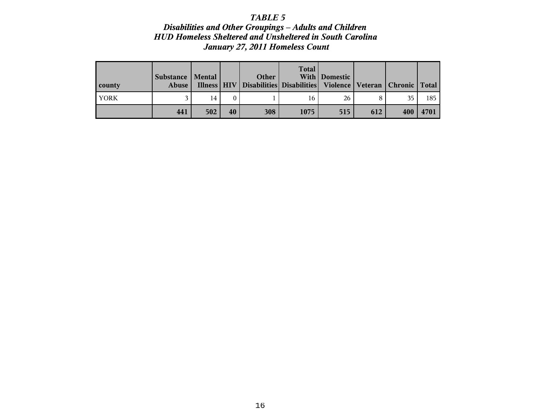*Disabilities and Other Groupings - Adults and Children HUD Homeless Sheltered and Unsheltered in South Carolina January 27, 2011 Homeless Count*

| county      | Substance   Mental<br><b>Abuse</b> |     |    | Other<br>Illness   HIV   Disabilities   Disabilities   Violence   Veteran   Chronic   Total | <b>Total</b> | With Domestic |     |     |      |
|-------------|------------------------------------|-----|----|---------------------------------------------------------------------------------------------|--------------|---------------|-----|-----|------|
| <b>YORK</b> |                                    | 14  |    |                                                                                             | 16           | 26            |     | 35  | 185  |
|             | 441                                | 502 | 40 | 308                                                                                         | 1075         | 515           | 612 | 400 | 4701 |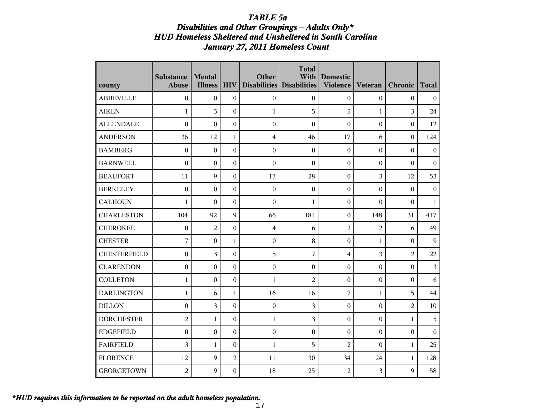### *TABLE 5a*

### *Disabilities and Other Groupings - Adults Only\* HUD Homeless Sheltered and Unsheltered in South Carolina January 27, 2011 Homeless Count*

| county              | <b>Substance</b><br><b>Abuse</b> | Mental<br><b>Illness</b> | <b>HIV</b>       | Other            | <b>Total</b><br>With<br>Disabilities Disabilities | <b>Domestic</b><br><b>Violence</b> | Veteran          | Chronic          | <b>Total</b>            |
|---------------------|----------------------------------|--------------------------|------------------|------------------|---------------------------------------------------|------------------------------------|------------------|------------------|-------------------------|
| <b>ABBEVILLE</b>    | $\boldsymbol{0}$                 | $\overline{0}$           | $\boldsymbol{0}$ | $\boldsymbol{0}$ | $\overline{0}$                                    | $\mathbf{0}$                       | $\boldsymbol{0}$ | $\boldsymbol{0}$ | $\boldsymbol{0}$        |
| <b>AIKEN</b>        | $\mathbf{1}$                     | 3                        | $\boldsymbol{0}$ | $\mathbf{1}$     | 5                                                 | 5                                  | $\mathbf{1}$     | $\overline{3}$   | 24                      |
| <b>ALLENDALE</b>    | $\boldsymbol{0}$                 | $\overline{0}$           | $\boldsymbol{0}$ | $\boldsymbol{0}$ | $\boldsymbol{0}$                                  | $\boldsymbol{0}$                   | $\boldsymbol{0}$ | $\boldsymbol{0}$ | 12                      |
| <b>ANDERSON</b>     | 36                               | 12                       | $\mathbf{1}$     | $\overline{4}$   | 46                                                | 17                                 | 6                | $\boldsymbol{0}$ | 124                     |
| <b>BAMBERG</b>      | $\boldsymbol{0}$                 | $\boldsymbol{0}$         | $\boldsymbol{0}$ | $\boldsymbol{0}$ | $\boldsymbol{0}$                                  | $\boldsymbol{0}$                   | $\boldsymbol{0}$ | $\boldsymbol{0}$ | $\boldsymbol{0}$        |
| <b>BARNWELL</b>     | $\theta$                         | $\mathbf{0}$             | $\boldsymbol{0}$ | $\boldsymbol{0}$ | $\theta$                                          | $\boldsymbol{0}$                   | $\boldsymbol{0}$ | $\theta$         | $\boldsymbol{0}$        |
| <b>BEAUFORT</b>     | 11                               | $\mathbf Q$              | $\boldsymbol{0}$ | 17               | 28                                                | $\boldsymbol{0}$                   | 3                | 12               | 53                      |
| <b>BERKELEY</b>     | $\boldsymbol{0}$                 | $\overline{0}$           | $\boldsymbol{0}$ | $\boldsymbol{0}$ | $\mathbf{0}$                                      | $\mathbf{0}$                       | $\boldsymbol{0}$ | $\boldsymbol{0}$ | $\mathbf{0}$            |
| <b>CALHOUN</b>      | $\mathbf{1}$                     | $\theta$                 | $\boldsymbol{0}$ | $\boldsymbol{0}$ | $\mathbf{1}$                                      | $\boldsymbol{0}$                   | $\boldsymbol{0}$ | $\boldsymbol{0}$ | $\mathbf{1}$            |
| <b>CHARLESTON</b>   | 104                              | 92                       | 9                | 66               | 181                                               | $\boldsymbol{0}$                   | 148              | 31               | 417                     |
| <b>CHEROKEE</b>     | $\boldsymbol{0}$                 | $\overline{2}$           | $\boldsymbol{0}$ | $\bf 4$          | 6                                                 | $\overline{c}$                     | $\overline{c}$   | 6                | 49                      |
| <b>CHESTER</b>      | 7                                | $\overline{0}$           | 1                | $\boldsymbol{0}$ | 8                                                 | $\boldsymbol{0}$                   | 1                | $\boldsymbol{0}$ | 9                       |
| <b>CHESTERFIELD</b> | $\boldsymbol{0}$                 | 3                        | $\boldsymbol{0}$ | 5                | 7                                                 | 4                                  | 3                | $\overline{2}$   | 22                      |
| <b>CLARENDON</b>    | $\mathbf{0}$                     | $\overline{0}$           | $\mathbf{0}$     | $\boldsymbol{0}$ | $\overline{0}$                                    | $\overline{0}$                     | $\overline{0}$   | $\boldsymbol{0}$ | $\overline{\mathbf{3}}$ |
| <b>COLLETON</b>     | $\mathbf{1}$                     | $\mathbf{0}$             | $\boldsymbol{0}$ | $\mathbf{1}$     | $\overline{2}$                                    | $\boldsymbol{0}$                   | $\boldsymbol{0}$ | $\boldsymbol{0}$ | 6                       |
| <b>DARLINGTON</b>   | $\mathbf{1}$                     | 6                        | $\mathbf{1}$     | 16               | 16                                                | 7                                  | $\mathbf{1}$     | 5                | 44                      |
| <b>DILLON</b>       | $\boldsymbol{0}$                 | 3                        | $\mathbf{0}$     | $\boldsymbol{0}$ | $\overline{3}$                                    | $\boldsymbol{0}$                   | $\boldsymbol{0}$ | $\overline{2}$   | 10                      |
| <b>DORCHESTER</b>   | $\overline{2}$                   | 1                        | $\boldsymbol{0}$ | $\mathbf{1}$     | 3                                                 | $\boldsymbol{0}$                   | $\boldsymbol{0}$ | $\mathbf{1}$     | 5                       |
| <b>EDGEFIELD</b>    | $\boldsymbol{0}$                 | $\mathbf{0}$             | $\boldsymbol{0}$ | $\boldsymbol{0}$ | $\theta$                                          | $\theta$                           | $\theta$         | $\boldsymbol{0}$ | $\boldsymbol{0}$        |
| <b>FAIRFIELD</b>    | 3                                | $\mathbf{1}$             | $\boldsymbol{0}$ | $\mathbf{1}$     | 5                                                 | $\overline{2}$                     | $\theta$         | $\mathbf{1}$     | 25                      |
| <b>FLORENCE</b>     | 12                               | $\mathbf{Q}$             | $\overline{c}$   | 11               | 30                                                | 34                                 | 24               | $\mathbf{1}$     | 128                     |
| <b>GEORGETOWN</b>   | $\overline{2}$                   | $\mathbf{Q}$             | $\boldsymbol{0}$ | 18               | 25                                                | $\overline{2}$                     | 3                | 9                | 58                      |

*\*HUD requires this information to be reported on the adult homeless population.*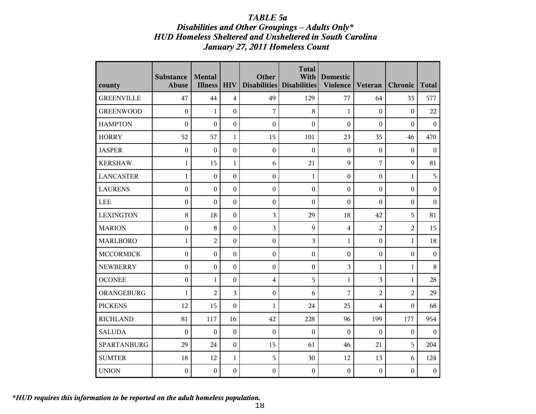## *TABLE 5a Disabilities and Other Groupings - Adults Only\* HUD Homeless Sheltered and Unsheltered in South Carolina January 27, 2011 Homeless Count*

| county            | <b>Substance</b><br>Abuse | Mental<br><b>Illness</b> | <b>HIV</b>       | Other            | <b>Total</b><br>With<br>Disabilities Disabilities | <b>Domestic</b><br><b>Violence</b> | Veteran          | Chronic          | <b>Total</b>     |
|-------------------|---------------------------|--------------------------|------------------|------------------|---------------------------------------------------|------------------------------------|------------------|------------------|------------------|
| <b>GREENVILLE</b> | 47                        | 44                       | $\overline{4}$   | 49               | 129                                               | 77                                 | 64               | 33               | 577              |
| <b>GREENWOOD</b>  | $\boldsymbol{0}$          | $\mathbf{1}$             | $\boldsymbol{0}$ | 7                | 8                                                 | $\mathbf{1}$                       | $\theta$         | $\boldsymbol{0}$ | 22               |
| <b>HAMPTON</b>    | $\theta$                  | $\mathbf{0}$             | $\boldsymbol{0}$ | $\boldsymbol{0}$ | $\theta$                                          | $\theta$                           | $\mathbf{0}$     | $\mathbf{0}$     | $\mathbf{0}$     |
| <b>HORRY</b>      | 52                        | 57                       | $\mathbf{1}$     | 15               | 101                                               | 23                                 | 35               | 46               | 470              |
| <b>JASPER</b>     | $\boldsymbol{0}$          | $\boldsymbol{0}$         | $\boldsymbol{0}$ | $\boldsymbol{0}$ | $\boldsymbol{0}$                                  | $\boldsymbol{0}$                   | $\boldsymbol{0}$ | $\boldsymbol{0}$ | $\boldsymbol{0}$ |
| <b>KERSHAW</b>    | $\mathbf{1}$              | 15                       | 1                | 6                | 21                                                | 9                                  | 7                | $\boldsymbol{9}$ | 81               |
| <b>LANCASTER</b>  | $\mathbf{1}$              | $\boldsymbol{0}$         | $\boldsymbol{0}$ | $\boldsymbol{0}$ | 1                                                 | $\boldsymbol{0}$                   | $\boldsymbol{0}$ | $\mathbf{1}$     | 5                |
| <b>LAURENS</b>    | $\boldsymbol{0}$          | $\mathbf{0}$             | $\boldsymbol{0}$ | $\boldsymbol{0}$ | $\boldsymbol{0}$                                  | $\mathbf{0}$                       | $\theta$         | $\boldsymbol{0}$ | $\boldsymbol{0}$ |
| <b>LEE</b>        | $\boldsymbol{0}$          | $\theta$                 | $\mathbf{0}$     | $\boldsymbol{0}$ | $\theta$                                          | $\theta$                           | $\theta$         | $\mathbf{0}$     | $\mathbf{0}$     |
| <b>LEXINGTON</b>  | 8                         | 18                       | $\mathbf{0}$     | 3                | 29                                                | 18                                 | 42               | 5                | 81               |
| <b>MARION</b>     | $\mathbf{0}$              | 8                        | $\boldsymbol{0}$ | 3                | 9                                                 | $\overline{4}$                     | $\overline{2}$   | $\overline{c}$   | 15               |
| <b>MARLBORO</b>   | $\mathbf{1}$              | $\overline{2}$           | $\boldsymbol{0}$ | $\boldsymbol{0}$ | 3                                                 | 1                                  | $\boldsymbol{0}$ | $\mathbf{1}$     | 18               |
| <b>MCCORMICK</b>  | $\boldsymbol{0}$          | $\boldsymbol{0}$         | $\boldsymbol{0}$ | $\boldsymbol{0}$ | $\boldsymbol{0}$                                  | $\boldsymbol{0}$                   | $\boldsymbol{0}$ | $\boldsymbol{0}$ | $\boldsymbol{0}$ |
| <b>NEWBERRY</b>   | $\boldsymbol{0}$          | $\boldsymbol{0}$         | $\mathbf{0}$     | $\boldsymbol{0}$ | $\boldsymbol{0}$                                  | 3                                  | 1                | $\mathbf{1}$     | 8                |
| <b>OCONEE</b>     | $\boldsymbol{0}$          | $\mathbf{1}$             | $\boldsymbol{0}$ | $\boldsymbol{4}$ | 5                                                 | $\mathbf{1}$                       | 3                | $\mathbf{1}$     | 28               |
| ORANGEBURG        | $\mathbf{1}$              | $\overline{a}$           | 3                | $\boldsymbol{0}$ | 6                                                 | 7                                  | $\overline{2}$   | $\overline{2}$   | 29               |
| <b>PICKENS</b>    | 12                        | 15                       | $\boldsymbol{0}$ | 1                | 24                                                | 25                                 | $\overline{4}$   | $\theta$         | 68               |
| <b>RICHLAND</b>   | 81                        | 117                      | 16               | 42               | 228                                               | 96                                 | 199              | 177              | 954              |
| <b>SALUDA</b>     | $\boldsymbol{0}$          | $\mathbf{0}$             | $\boldsymbol{0}$ | $\boldsymbol{0}$ | $\boldsymbol{0}$                                  | $\mathbf{0}$                       | $\theta$         | $\boldsymbol{0}$ | $\boldsymbol{0}$ |
| SPARTANBURG       | 29                        | 24                       | $\boldsymbol{0}$ | 15               | 61                                                | 46                                 | 21               | 5                | 204              |
| <b>SUMTER</b>     | 18                        | 12                       | 1                | 5                | 30                                                | 12                                 | 13               | 6                | 124              |
| <b>UNION</b>      | $\boldsymbol{0}$          | $\boldsymbol{0}$         | $\boldsymbol{0}$ | $\boldsymbol{0}$ | $\boldsymbol{0}$                                  | $\theta$                           | $\boldsymbol{0}$ | $\boldsymbol{0}$ | $\boldsymbol{0}$ |

*\*HUD requires this information to be reported on the adult homeless population.*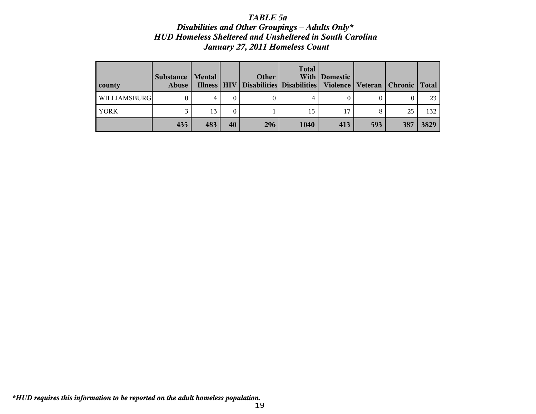## *TABLE 5a Disabilities and Other Groupings - Adults Only\* HUD Homeless Sheltered and Unsheltered in South Carolina January 27, 2011 Homeless Count*

| county              | <b>Substance</b><br>Abuse | Mental |    | Other<br>Illness   HIV   Disabilities   Disabilities   Violence   Veteran   Chronic   Total | <b>Total</b> | With   Domestic |     |     |                  |
|---------------------|---------------------------|--------|----|---------------------------------------------------------------------------------------------|--------------|-----------------|-----|-----|------------------|
| <b>WILLIAMSBURG</b> |                           | 4      | 0  |                                                                                             |              |                 |     |     | 23               |
| YORK                |                           | 13     | 0  |                                                                                             | 15           | 17              |     | 25  | 132 <sub>1</sub> |
|                     | 435                       | 483    | 40 | 296                                                                                         | 1040         | 413             | 593 | 387 | 3829             |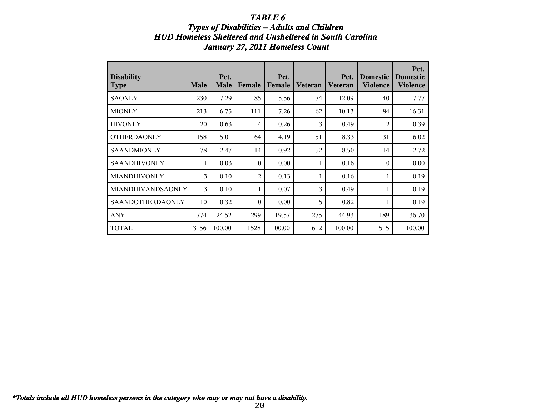## **Types of Disabilities - Adults and Children** *HUD Homeless Sheltered and Unsheltered in South Carolina January 27, 2011 Homeless Count*

| <b>Disability</b><br><b>Type</b> | <b>Male</b>    | Pct.<br><b>Male</b> | Female         | Pct.<br>Female | <b>Veteran</b> | Pct.<br><b>Veteran</b> | <b>Domestic</b><br><b>Violence</b> | Pct.<br><b>Domestic</b><br><b>Violence</b> |
|----------------------------------|----------------|---------------------|----------------|----------------|----------------|------------------------|------------------------------------|--------------------------------------------|
| <b>SAONLY</b>                    | 230            | 7.29                | 85             | 5.56           | 74             | 12.09                  | 40                                 | 7.77                                       |
| <b>MIONLY</b>                    | 213            | 6.75                | 111            | 7.26           | 62             | 10.13                  | 84                                 | 16.31                                      |
| <b>HIVONLY</b>                   | 20             | 0.63                | $\overline{4}$ | 0.26           | 3              | 0.49                   | 2                                  | 0.39                                       |
| <b>OTHERDAONLY</b>               | 158            | 5.01                | 64             | 4.19           | 51             | 8.33                   | 31                                 | 6.02                                       |
| <b>SAANDMIONLY</b>               | 78             | 2.47                | 14             | 0.92           | 52             | 8.50                   | 14                                 | 2.72                                       |
| SAANDHIVONLY                     | 1              | 0.03                | $\theta$       | 0.00           | 1              | 0.16                   | $\theta$                           | 0.00                                       |
| MIANDHIVONLY                     | 3              | 0.10                | $\overline{2}$ | 0.13           | 1              | 0.16                   |                                    | 0.19                                       |
| <b>MIANDHIVANDSAONLY</b>         | $\overline{3}$ | 0.10                | 1              | 0.07           | 3              | 0.49                   |                                    | 0.19                                       |
| <b>SAANDOTHERDAONLY</b>          | 10             | 0.32                | $\theta$       | 0.00           | 5              | 0.82                   |                                    | 0.19                                       |
| <b>ANY</b>                       | 774            | 24.52               | 299            | 19.57          | 275            | 44.93                  | 189                                | 36.70                                      |
| <b>TOTAL</b>                     | 3156           | 100.00              | 1528           | 100.00         | 612            | 100.00                 | 515                                | 100.00                                     |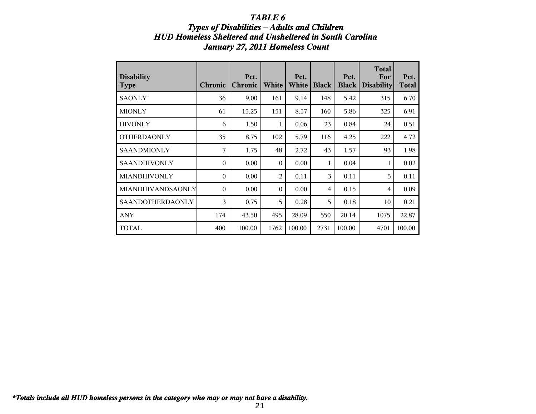## **Types of Disabilities - Adults and Children** *HUD Homeless Sheltered and Unsheltered in South Carolina January 27, 2011 Homeless Count*

| <b>Disability</b><br><b>Type</b> | <b>Chronic</b> | Pct.<br><b>Chronic</b> | White          | Pct.<br>White | <b>Black</b> | Pct.<br><b>Black</b> | <b>Total</b><br>For<br><b>Disability</b> | Pct.<br><b>Total</b> |
|----------------------------------|----------------|------------------------|----------------|---------------|--------------|----------------------|------------------------------------------|----------------------|
| <b>SAONLY</b>                    | 36             | 9.00                   | 161            | 9.14          | 148          | 5.42                 | 315                                      | 6.70                 |
| <b>MIONLY</b>                    | 61             | 15.25                  | 151            | 8.57          | 160          | 5.86                 | 325                                      | 6.91                 |
| <b>HIVONLY</b>                   | 6              | 1.50                   | 1              | 0.06          | 23           | 0.84                 | 24                                       | 0.51                 |
| <b>OTHERDAONLY</b>               | 35             | 8.75                   | 102            | 5.79          | 116          | 4.25                 | 222                                      | 4.72                 |
| <b>SAANDMIONLY</b>               | 7              | 1.75                   | 48             | 2.72          | 43           | 1.57                 | 93                                       | 1.98                 |
| <b>SAANDHIVONLY</b>              | $\theta$       | 0.00                   | $\theta$       | 0.00          | 1            | 0.04                 | 1                                        | 0.02                 |
| <b>MIANDHIVONLY</b>              | $\theta$       | 0.00                   | $\overline{2}$ | 0.11          | 3            | 0.11                 | 5                                        | 0.11                 |
| <b>MIANDHIVANDSAONLY</b>         | $\theta$       | 0.00                   | $\theta$       | 0.00          | 4            | 0.15                 | 4                                        | 0.09                 |
| <b>SAANDOTHERDAONLY</b>          | 3              | 0.75                   | 5              | 0.28          | 5            | 0.18                 | 10                                       | 0.21                 |
| <b>ANY</b>                       | 174            | 43.50                  | 495            | 28.09         | 550          | 20.14                | 1075                                     | 22.87                |
| <b>TOTAL</b>                     | 400            | 100.00                 | 1762           | 100.00        | 2731         | 100.00               | 4701                                     | 100.00               |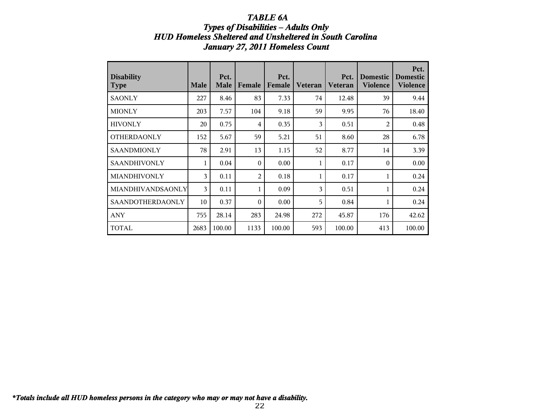## *TABLE 6A* **Types of Disabilities - Adults Only** *HUD Homeless Sheltered and Unsheltered in South Carolina January 27, 2011 Homeless Count*

| <b>Disability</b><br><b>Type</b> | <b>Male</b> | Pct.<br><b>Male</b> | Female         | Pct.<br>Female | <b>Veteran</b> | Pct.<br>Veteran | <b>Domestic</b><br><b>Violence</b> | Pct.<br><b>Domestic</b><br><b>Violence</b> |
|----------------------------------|-------------|---------------------|----------------|----------------|----------------|-----------------|------------------------------------|--------------------------------------------|
| <b>SAONLY</b>                    | 227         | 8.46                | 83             | 7.33           | 74             | 12.48           | 39                                 | 9.44                                       |
| <b>MIONLY</b>                    | 203         | 7.57                | 104            | 9.18           | 59             | 9.95            | 76                                 | 18.40                                      |
| <b>HIVONLY</b>                   | 20          | 0.75                | 4              | 0.35           | 3              | 0.51            | $\overline{c}$                     | 0.48                                       |
| <b>OTHERDAONLY</b>               | 152         | 5.67                | 59             | 5.21           | 51             | 8.60            | 28                                 | 6.78                                       |
| <b>SAANDMIONLY</b>               | 78          | 2.91                | 13             | 1.15           | 52             | 8.77            | 14                                 | 3.39                                       |
| <b>SAANDHIVONLY</b>              | 1           | 0.04                | $\theta$       | 0.00           | 1              | 0.17            | $\theta$                           | 0.00                                       |
| MIANDHIVONLY                     | 3           | 0.11                | $\overline{2}$ | 0.18           | 1              | 0.17            |                                    | 0.24                                       |
| MIANDHIVANDSAONLY                | 3           | 0.11                | 1              | 0.09           | 3              | 0.51            |                                    | 0.24                                       |
| SAANDOTHERDAONLY                 | 10          | 0.37                | $\Omega$       | 0.00           | 5              | 0.84            |                                    | 0.24                                       |
| <b>ANY</b>                       | 755         | 28.14               | 283            | 24.98          | 272            | 45.87           | 176                                | 42.62                                      |
| <b>TOTAL</b>                     | 2683        | 100.00              | 1133           | 100.00         | 593            | 100.00          | 413                                | 100.00                                     |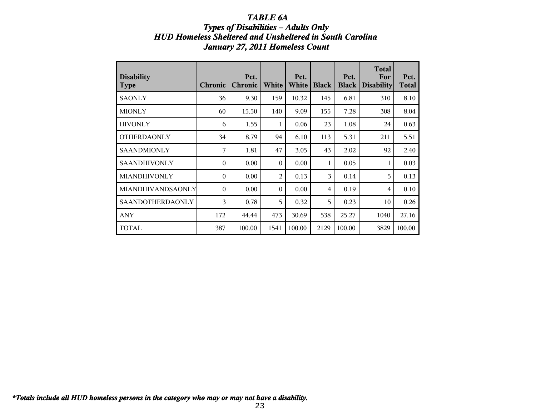### *TABLE 6A* **Types of Disabilities - Adults Only** *HUD Homeless Sheltered and Unsheltered in South Carolina January 27, 2011 Homeless Count*

| <b>Disability</b><br>  Type | <b>Chronic</b> | Pct.<br><b>Chronic</b> | White        | Pct.<br>White | <b>Black</b> | Pct.<br><b>Black</b> | <b>Total</b><br>For<br><b>Disability</b> | Pct.<br><b>Total</b> |
|-----------------------------|----------------|------------------------|--------------|---------------|--------------|----------------------|------------------------------------------|----------------------|
| <b>SAONLY</b>               | 36             | 9.30                   | 159          | 10.32         | 145          | 6.81                 | 310                                      | 8.10                 |
| <b>MIONLY</b>               | 60             | 15.50                  | 140          | 9.09          | 155          | 7.28                 | 308                                      | 8.04                 |
| <b>HIVONLY</b>              | 6              | 1.55                   | $\mathbf{1}$ | 0.06          | 23           | 1.08                 | 24                                       | 0.63                 |
| <b>OTHERDAONLY</b>          | 34             | 8.79                   | 94           | 6.10          | 113          | 5.31                 | 211                                      | 5.51                 |
| <b>SAANDMIONLY</b>          | 7              | 1.81                   | 47           | 3.05          | 43           | 2.02                 | 92                                       | 2.40                 |
| <b>SAANDHIVONLY</b>         | $\theta$       | 0.00                   | $\theta$     | 0.00          | 1            | 0.05                 | 1                                        | 0.03                 |
| MIANDHIVONLY                | $\theta$       | 0.00                   | 2            | 0.13          | 3            | 0.14                 | 5                                        | 0.13                 |
| MIANDHIVANDSAONLY           | $\theta$       | 0.00                   | $\Omega$     | 0.00          | 4            | 0.19                 | 4                                        | 0.10                 |
| SAANDOTHERDAONLY            | 3              | 0.78                   | 5            | 0.32          | 5            | 0.23                 | 10                                       | 0.26                 |
| <b>ANY</b>                  | 172            | 44.44                  | 473          | 30.69         | 538          | 25.27                | 1040                                     | 27.16                |
| <b>TOTAL</b>                | 387            | 100.00                 | 1541         | 100.00        | 2129         | 100.00               | 3829                                     | 100.00               |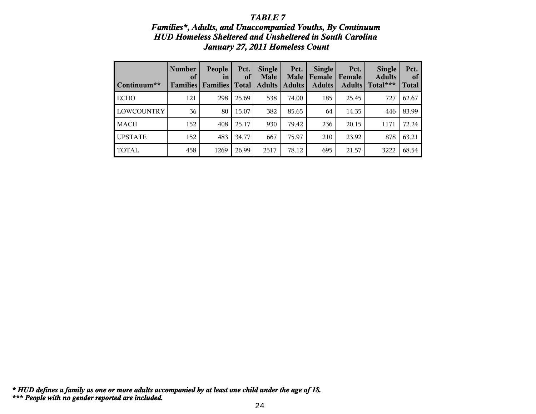### *Families\*, Adults, and Unaccompanied Youths, By Continuum HUD Homeless Sheltered and Unsheltered in South Carolina January 27, 2011 Homeless Count*

| Continuum**    | <b>Number</b><br>of<br><b>Families</b> | People<br>in<br><b>Families</b> | Pct.<br>of<br><b>Total</b> | <b>Single</b><br><b>Male</b><br><b>Adults</b> | Pct.<br><b>Male</b><br><b>Adults</b> | <b>Single</b><br>Female<br><b>Adults</b> | Pct.<br>Female<br>Adults | <b>Single</b><br><b>Adults</b><br>Total*** | Pct.<br>of<br><b>Total</b> |
|----------------|----------------------------------------|---------------------------------|----------------------------|-----------------------------------------------|--------------------------------------|------------------------------------------|--------------------------|--------------------------------------------|----------------------------|
| <b>ECHO</b>    | 121                                    | 298                             | 25.69                      | 538                                           | 74.00                                | 185                                      | 25.45                    | 727                                        | 62.67                      |
| LOWCOUNTRY     | 36                                     | 80                              | 15.07                      | 382                                           | 85.65                                | 64                                       | 14.35                    | 446                                        | 83.99                      |
| MACH           | 152                                    | 408                             | 25.17                      | 930                                           | 79.42                                | 236                                      | 20.15                    | 1171                                       | 72.24                      |
| <b>UPSTATE</b> | 152                                    | 483                             | 34.77                      | 667                                           | 75.97                                | 210                                      | 23.92                    | 878                                        | 63.21                      |
| <b>TOTAL</b>   | 458                                    | 1269                            | 26.99                      | 2517                                          | 78.12                                | 695                                      | 21.57                    | 3222                                       | 68.54                      |

*\*\*\* People with no gender reported are included. \* HUD defines a family as one or more adults accompanied by at least one child under the age of 18.*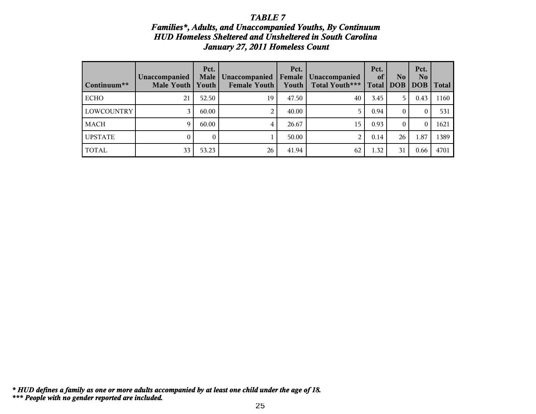### *Families\*, Adults, and Unaccompanied Youths, By Continuum HUD Homeless Sheltered and Unsheltered in South Carolina January 27, 2011 Homeless Count*

| Continuum**       | Unaccompanied<br>Male Youth | Pct.<br><b>Male</b><br>Youth | Unaccompanied<br>Female Youth | Pct.<br>Female<br>Youth | Unaccompanied<br>Total Youth*** | Pct.<br>of<br><b>Total</b> | N <sub>0</sub><br><b>DOB</b> | Pct.<br>N <sub>o</sub><br><b>DOB</b> | <b>Total</b> |
|-------------------|-----------------------------|------------------------------|-------------------------------|-------------------------|---------------------------------|----------------------------|------------------------------|--------------------------------------|--------------|
| <b>ECHO</b>       | 21                          | 52.50                        | 19                            | 47.50                   | 40                              | 3.45                       | 5                            | 0.43                                 | 1160         |
| <b>LOWCOUNTRY</b> |                             | 60.00                        | 2                             | 40.00                   | 5                               | 0.94                       | 0                            | 0                                    | 531          |
| <b>MACH</b>       | 9                           | 60.00                        | 4                             | 26.67                   | 15                              | 0.93                       |                              | 0                                    | 1621         |
| <b>UPSTATE</b>    |                             | 0                            | T.                            | 50.00                   | $\overline{2}$                  | 0.14                       | 26                           | 1.87                                 | 1389         |
| <b>TOTAL</b>      | 33                          | 53.23                        | 26                            | 41.94                   | 62                              | 1.32                       | 31                           | 0.66                                 | 4701         |

*\*\*\* People with no gender reported are included. \* HUD defines a family as one or more adults accompanied by at least one child under the age of 18.*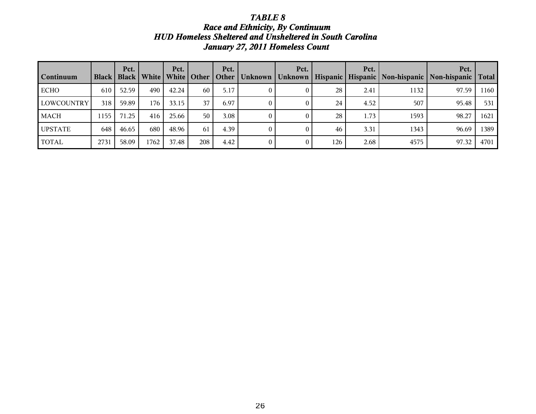## *TABLE 8 Race and Ethnicity, By Continuum HUD Homeless Sheltered and Unsheltered in South Carolina January 27, 2011 Homeless Count*

| Continuum         | <b>Black</b> | Pct.  |      | Pct.  | Black   White   White   Other | Pct.<br>  Other | Pct. |     | Pct. |      | Pct.<br>Unknown   Unknown   Hispanic   Hispanic   Non-hispanic   Non-hispanic   Total |      |
|-------------------|--------------|-------|------|-------|-------------------------------|-----------------|------|-----|------|------|---------------------------------------------------------------------------------------|------|
| <b>ECHO</b>       | 610          | 52.59 | 490  | 42.24 | 60                            | 5.17            |      | 28  | 2.41 | 1132 | 97.59                                                                                 | 1160 |
| <b>LOWCOUNTRY</b> | 318          | 59.89 | 176  | 33.15 | 37                            | 6.97            |      | 24  | 4.52 | 507  | 95.48                                                                                 | 531  |
| <b>MACH</b>       | 1155         | 71.25 | 416  | 25.66 | 50                            | 3.08            |      | 28  | 1.73 | 1593 | 98.27                                                                                 | 1621 |
| <b>UPSTATE</b>    | 648          | 46.65 | 680  | 48.96 | 61                            | 4.39            |      | 46  | 3.31 | 1343 | 96.69                                                                                 | 1389 |
| <b>TOTAL</b>      | 2731         | 58.09 | 1762 | 37.48 | 208                           | 4.42            |      | 126 | 2.68 | 4575 | 97.32                                                                                 | 4701 |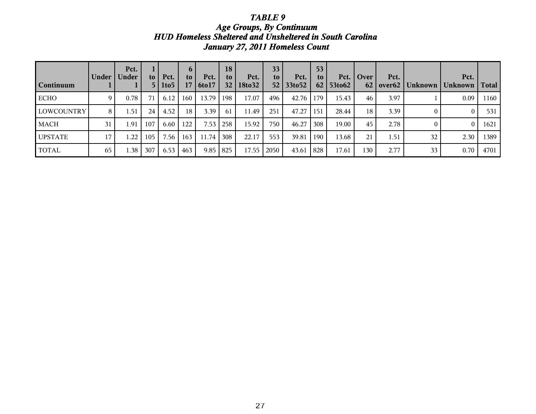*Age Groups, By Continuum HUD Homeless Sheltered and Unsheltered in South Carolina January 27, 2011 Homeless Count*

| Continuum      | Under | Pct.<br><b>Under</b> | to l<br>5 <sub>1</sub> | Pct.<br>1to5 | $\mathbf{p}$<br>to | Pct.<br>$17   6$ to $17$ | 18<br>to<br>32 <sub>1</sub> | Pct.<br>18to32 | 33 <sup>2</sup><br>to l | Pct.<br>$52 \mid 33$ to $52$ | 53<br>to. | Pct.<br>$62$   53to62 | Over             | Pct. | 62   over62   Unknown | Pct.<br>  Unknown | Total |
|----------------|-------|----------------------|------------------------|--------------|--------------------|--------------------------|-----------------------------|----------------|-------------------------|------------------------------|-----------|-----------------------|------------------|------|-----------------------|-------------------|-------|
| <b>ECHO</b>    | 9     | 0.78                 |                        | 6.12         | 160                | 13.79                    | 198                         | 17.07          | 496                     | 42.76                        | 179       | 15.43                 | 46               | 3.97 |                       | 0.09              | 1160  |
| LOWCOUNTRY     | 8     | 1.51                 | 24                     | 4.52         | 18                 | 3.39                     | 61                          | 11.49          | 251                     | 47.27                        | 151       | 28.44                 | 18               | 3.39 |                       | $\bf{0}$          | 531   |
| MACH           | 31    | 1.91                 | 107                    | 6.60         | 122                | 7.53                     | l 258                       | 15.92          | 750                     | 46.27                        | 308       | 19.00                 | 45               | 2.78 |                       | $\overline{0}$    | 1621  |
| <b>UPSTATE</b> | 17    | 1.22                 | 105                    | 7.56         | 163                | 11.74                    | 308                         | 22.17          | 553                     | 39.81                        | 190       | 13.68                 | 21               | 1.51 | 32                    | 2.30              | 1389  |
| TOTAL          | 65    | .38 <sup>°</sup>     | 307                    | 6.53         | 463                | 9.85                     | l 825                       | 17.55          | 2050                    | 43.61                        | 828       | 17.61                 | 130 <sub>1</sub> | 2.77 | 33                    | 0.70              | 4701  |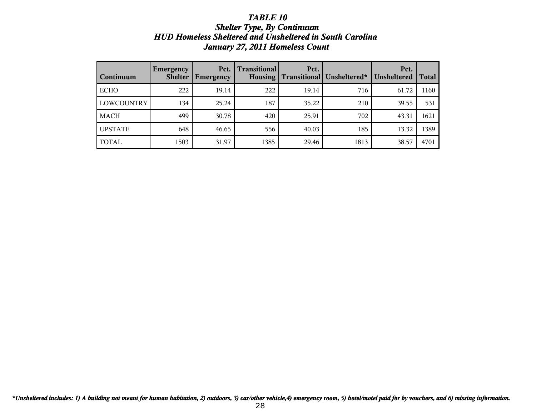### *TABLE 10 Shelter Type, By Continuum HUD Homeless Sheltered and Unsheltered in South Carolina January 27, 2011 Homeless Count*

| Continuum         | <b>Emergency</b><br><b>Shelter</b> | Pct.<br><b>Emergency</b> | <b>Transitional</b><br><b>Housing</b> | Pct.<br><b>Transitional</b> | Unsheltered* | Pct.<br>Unsheltered | <b>Total</b> |
|-------------------|------------------------------------|--------------------------|---------------------------------------|-----------------------------|--------------|---------------------|--------------|
| <b>ECHO</b>       | 222                                | 19.14                    | 222                                   | 19.14                       | 716          | 61.72               | 1160         |
| <b>LOWCOUNTRY</b> | 134                                | 25.24                    | 187                                   | 35.22                       | 210          | 39.55               | 531          |
| <b>MACH</b>       | 499                                | 30.78                    | 420                                   | 25.91                       | 702          | 43.31               | 1621         |
| <b>UPSTATE</b>    | 648                                | 46.65                    | 556                                   | 40.03                       | 185          | 13.32               | 1389         |
| <b>TOTAL</b>      | 1503                               | 31.97                    | 1385                                  | 29.46                       | 1813         | 38.57               | 4701         |

*\*Unsheltered includes: 1) A building not meant for human habitation, 2) outdoors, 3) car/other vehicle,4) emergency room, 5) hotel/motel paid for by vouchers, and 6) missing information.*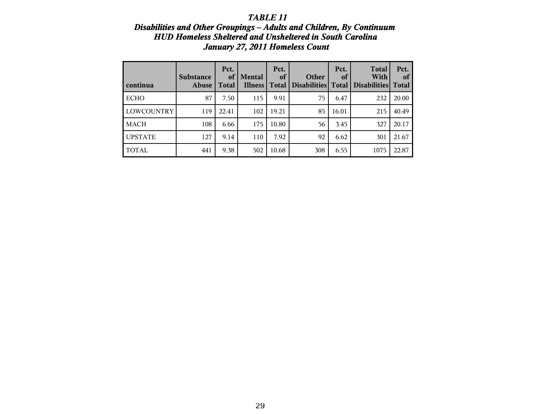### **Disabilities and Other Groupings - Adults and Children, By Continuum** *HUD Homeless Sheltered and Unsheltered in South Carolina January 27, 2011 Homeless Count*

| continua          | <b>Substance</b><br><b>Abuse</b> | Pct.<br>of<br><b>Total</b> | <b>Mental</b><br><b>Illness</b> | Pct.<br>of<br>Total | Other<br><b>Disabilities</b> | Pct.<br>of<br><b>Total</b> | <b>Total</b><br>With<br><b>Disabilities</b> | Pct.<br>of<br><b>Total</b> |
|-------------------|----------------------------------|----------------------------|---------------------------------|---------------------|------------------------------|----------------------------|---------------------------------------------|----------------------------|
| <b>ECHO</b>       | 87                               | 7.50                       | 115                             | 9.91                | 75                           | 6.47                       | 232                                         | 20.00                      |
| <b>LOWCOUNTRY</b> | 119                              | 22.41                      | 102                             | 19.21               | 85                           | 16.01                      | 215                                         | 40.49                      |
| <b>MACH</b>       | 108                              | 6.66                       | 175                             | 10.80               | 56                           | 3.45                       | 327                                         | 20.17                      |
| <b>UPSTATE</b>    | 127                              | 9.14                       | 110                             | 7.92                | 92                           | 6.62                       | 301                                         | 21.67                      |
| <b>TOTAL</b>      | 441                              | 9.38                       | 502                             | 10.68               | 308                          | 6.55                       | 1075                                        | 22.87                      |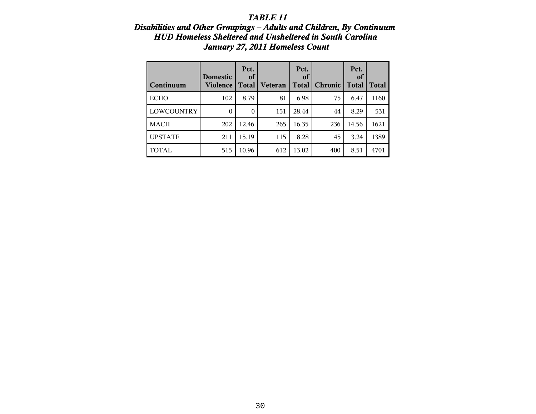### **Disabilities and Other Groupings – Adults and Children, By Continuum** *HUD Homeless Sheltered and Unsheltered in South Carolina January 27, 2011 Homeless Count*

| Continuum      | <b>Domestic</b><br>Violence | Pct.<br>of<br>Total | Veteran | Pct.<br><sub>of</sub><br>Total | <b>Chronic</b> | Pct.<br>of<br><b>Total</b> | Total |
|----------------|-----------------------------|---------------------|---------|--------------------------------|----------------|----------------------------|-------|
| <b>ECHO</b>    | 102                         | 8.79                | 81      | 6.98                           | 75             | 6.47                       | 1160  |
| LOWCOUNTRY     | 0                           | $\theta$            | 151     | 28.44                          | 44             | 8.29                       | 531   |
| <b>MACH</b>    | 202                         | 12.46               | 265     | 16.35                          | 236            | 14.56                      | 1621  |
| <b>UPSTATE</b> | 211                         | 15.19               | 115     | 8.28                           | 45             | 3.24                       | 1389  |
| <b>TOTAL</b>   | 515                         | 10.96               | 612     | 13.02                          | 400            | 8.51                       | 4701  |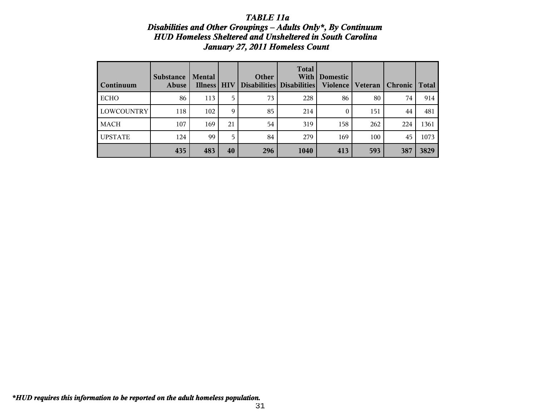### *TABLE 11a Disabilities and Other Groupings - Adults Only\*, By Continuum HUD Homeless Sheltered and Unsheltered in South Carolina January 27, 2011 Homeless Count*

| Continuum      | <b>Substance</b><br>Abuse | <b>Mental</b><br><b>Illness</b> | <b>HIV</b> | Other | <b>Total</b><br>With<br>Disabilities Disabilities | <b>Domestic</b><br>Violence | <b>Veteran</b> | <b>Chronic</b> | <b>Total</b> |
|----------------|---------------------------|---------------------------------|------------|-------|---------------------------------------------------|-----------------------------|----------------|----------------|--------------|
| <b>ECHO</b>    | 86                        | 113                             | 5          | 73    | 228                                               | 86                          | 80             | 74             | 914          |
| LOWCOUNTRY     | 118                       | 102                             | 9          | 85    | 214                                               | $\theta$                    | 151            | 44             | 481          |
| <b>MACH</b>    | 107                       | 169                             | 21         | 54    | 319                                               | 158                         | 262            | 224            | 1361         |
| <b>UPSTATE</b> | 124                       | 99                              | 5.         | 84    | 279                                               | 169                         | 100            | 45             | 1073         |
|                | 435                       | 483                             | 40         | 296   | 1040                                              | 413                         | 593            | 387            | 3829         |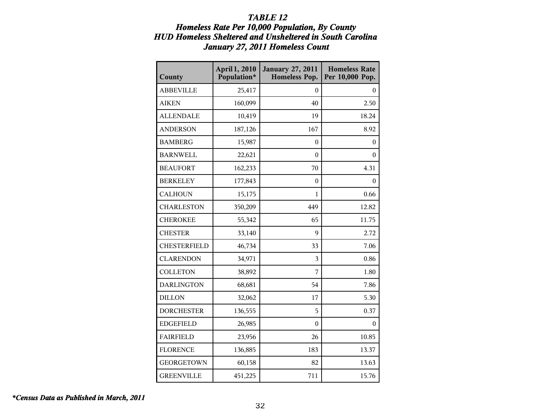## *TABLE 12 Homeless Rate Per 10,000 Population, By County HUD Homeless Sheltered and Unsheltered in South Carolina January 27, 2011 Homeless Count*

| County              | April 1, 2010<br>Population* | <b>January 27, 2011</b><br><b>Homeless Pop.</b> | <b>Homeless Rate</b><br>Per 10,000 Pop. |
|---------------------|------------------------------|-------------------------------------------------|-----------------------------------------|
| <b>ABBEVILLE</b>    | 25,417                       | $\theta$                                        | $\bf{0}$                                |
| <b>AIKEN</b>        | 160,099                      | 40                                              | 2.50                                    |
| <b>ALLENDALE</b>    | 10,419                       | 19                                              | 18.24                                   |
| <b>ANDERSON</b>     | 187,126                      | 167                                             | 8.92                                    |
| <b>BAMBERG</b>      | 15,987                       | $\boldsymbol{0}$                                | $\boldsymbol{0}$                        |
| <b>BARNWELL</b>     | 22,621                       | $\boldsymbol{0}$                                | $\boldsymbol{0}$                        |
| <b>BEAUFORT</b>     | 162,233                      | 70                                              | 4.31                                    |
| <b>BERKELEY</b>     | 177,843                      | $\boldsymbol{0}$                                | $\bf{0}$                                |
| <b>CALHOUN</b>      | 15,175                       | 1                                               | 0.66                                    |
| <b>CHARLESTON</b>   | 350,209                      | 449                                             | 12.82                                   |
| <b>CHEROKEE</b>     | 55,342                       | 65                                              | 11.75                                   |
| <b>CHESTER</b>      | 33,140                       | 9                                               | 2.72                                    |
| <b>CHESTERFIELD</b> | 46,734                       | 33                                              | 7.06                                    |
| <b>CLARENDON</b>    | 34,971                       | 3                                               | 0.86                                    |
| <b>COLLETON</b>     | 38,892                       | 7                                               | 1.80                                    |
| <b>DARLINGTON</b>   | 68,681                       | 54                                              | 7.86                                    |
| <b>DILLON</b>       | 32,062                       | 17                                              | 5.30                                    |
| <b>DORCHESTER</b>   | 136,555                      | 5                                               | 0.37                                    |
| <b>EDGEFIELD</b>    | 26,985                       | 0                                               | $\theta$                                |
| <b>FAIRFIELD</b>    | 23,956                       | 26                                              | 10.85                                   |
| <b>FLORENCE</b>     | 136,885                      | 183                                             | 13.37                                   |
| <b>GEORGETOWN</b>   | 60,158                       | 82                                              | 13.63                                   |
| <b>GREENVILLE</b>   | 451,225                      | 711                                             | 15.76                                   |

*\*Census Data as Published in March, 2011*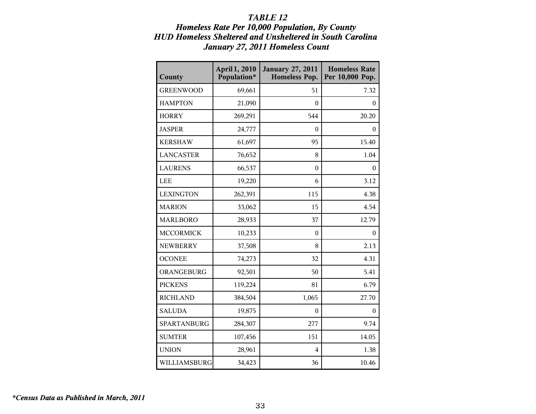## *TABLE 12 Homeless Rate Per 10,000 Population, By County HUD Homeless Sheltered and Unsheltered in South Carolina January 27, 2011 Homeless Count*

| County           | April 1, 2010<br>Population* | <b>January 27, 2011</b><br><b>Homeless Pop.</b> | <b>Homeless Rate</b><br>Per 10,000 Pop. |
|------------------|------------------------------|-------------------------------------------------|-----------------------------------------|
| <b>GREENWOOD</b> | 69,661                       | 51                                              | 7.32                                    |
| <b>HAMPTON</b>   | 21,090                       | 0                                               | $\mathbf{0}$                            |
| <b>HORRY</b>     | 269,291                      | 544                                             | 20.20                                   |
| <b>JASPER</b>    | 24,777                       | $\boldsymbol{0}$                                | $\mathbf{0}$                            |
| <b>KERSHAW</b>   | 61,697                       | 95                                              | 15.40                                   |
| <b>LANCASTER</b> | 76,652                       | 8                                               | 1.04                                    |
| <b>LAURENS</b>   | 66,537                       | $\boldsymbol{0}$                                | $\boldsymbol{0}$                        |
| <b>LEE</b>       | 19,220                       | 6                                               | 3.12                                    |
| <b>LEXINGTON</b> | 262,391                      | 115                                             | 4.38                                    |
| <b>MARION</b>    | 33,062                       | 15                                              | 4.54                                    |
| <b>MARLBORO</b>  | 28,933                       | 37                                              | 12.79                                   |
| <b>MCCORMICK</b> | 10,233                       | 0                                               | $\mathbf{0}$                            |
| <b>NEWBERRY</b>  | 37,508                       | 8                                               | 2.13                                    |
| <b>OCONEE</b>    | 74,273                       | 32                                              | 4.31                                    |
| ORANGEBURG       | 92,501                       | 50                                              | 5.41                                    |
| <b>PICKENS</b>   | 119,224                      | 81                                              | 6.79                                    |
| <b>RICHLAND</b>  | 384,504                      | 1,065                                           | 27.70                                   |
| <b>SALUDA</b>    | 19,875                       | $\boldsymbol{0}$                                | $\mathbf{0}$                            |
| SPARTANBURG      | 284,307                      | 277                                             | 9.74                                    |
| <b>SUMTER</b>    | 107,456                      | 151                                             | 14.05                                   |
| <b>UNION</b>     | 28,961                       | 4                                               | 1.38                                    |
| WILLIAMSBURG     | 34,423                       | 36                                              | 10.46                                   |

*\*Census Data as Published in March, 2011*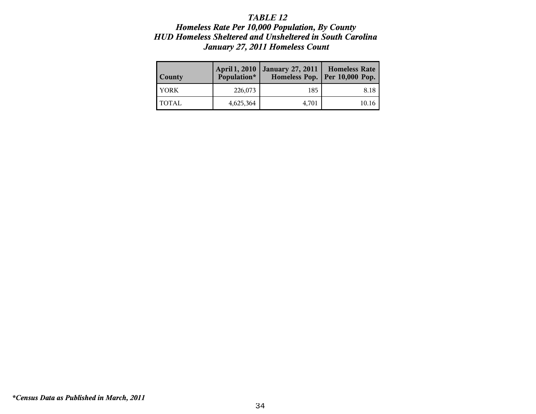## *TABLE 12 Homeless Rate Per 10,000 Population, By County HUD Homeless Sheltered and Unsheltered in South Carolina January 27, 2011 Homeless Count*

| <b>County</b> | April 1, 2010<br>Population* | <b>January 27, 2011</b> | <b>Homeless Rate</b><br>Homeless Pop.   Per 10,000 Pop. |
|---------------|------------------------------|-------------------------|---------------------------------------------------------|
| <b>YORK</b>   | 226,073                      | 185                     | 8.18                                                    |
| <b>TOTAL</b>  | 4,625,364                    | 4,701                   | 10.16                                                   |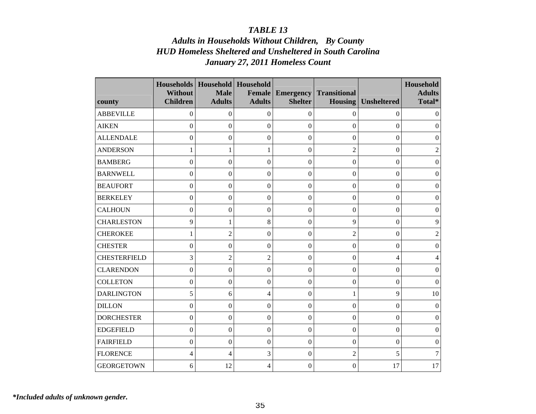# *Adults in Households Without Children, By County HUD Homeless Sheltered and Unsheltered in South Carolina January 27, 2011 Homeless Count*

| county              | <b>Households</b><br><b>Without</b><br><b>Children</b> | Household<br><b>Male</b><br><b>Adults</b> | Household<br><b>Female</b><br><b>Adults</b> | <b>Emergency</b><br><b>Shelter</b> | <b>Transitional</b><br><b>Housing</b> | <b>Unsheltered</b>       | Household<br><b>Adults</b><br>Total* |
|---------------------|--------------------------------------------------------|-------------------------------------------|---------------------------------------------|------------------------------------|---------------------------------------|--------------------------|--------------------------------------|
| <b>ABBEVILLE</b>    | 0                                                      | 0                                         | $\boldsymbol{0}$                            | $\boldsymbol{0}$                   | $\mathbf{0}$                          | 0                        | $\theta$                             |
| <b>AIKEN</b>        | $\boldsymbol{0}$                                       | $\boldsymbol{0}$                          | $\boldsymbol{0}$                            | $\boldsymbol{0}$                   | $\Omega$                              | $\theta$                 | $\overline{0}$                       |
| <b>ALLENDALE</b>    | $\boldsymbol{0}$                                       | $\boldsymbol{0}$                          | $\boldsymbol{0}$                            | $\boldsymbol{0}$                   | $\boldsymbol{0}$                      | $\mathbf{0}$             | $\mathbf{0}$                         |
| <b>ANDERSON</b>     | 1                                                      | 1                                         | 1                                           | $\boldsymbol{0}$                   | $\overline{2}$                        | 0                        | $\overline{2}$                       |
| <b>BAMBERG</b>      | $\boldsymbol{0}$                                       | $\boldsymbol{0}$                          | $\boldsymbol{0}$                            | $\boldsymbol{0}$                   | $\boldsymbol{0}$                      | $\boldsymbol{0}$         | $\boldsymbol{0}$                     |
| <b>BARNWELL</b>     | $\overline{0}$                                         | $\overline{0}$                            | $\mathbf{0}$                                | $\boldsymbol{0}$                   | $\mathbf{0}$                          | $\theta$                 | $\overline{0}$                       |
| <b>BEAUFORT</b>     | $\mathbf{0}$                                           | $\overline{0}$                            | $\mathbf{0}$                                | $\boldsymbol{0}$                   | $\mathbf{0}$                          | $\boldsymbol{0}$         | $\boldsymbol{0}$                     |
| <b>BERKELEY</b>     | $\boldsymbol{0}$                                       | $\overline{0}$                            | $\boldsymbol{0}$                            | $\boldsymbol{0}$                   | $\boldsymbol{0}$                      | 0                        | $\boldsymbol{0}$                     |
| <b>CALHOUN</b>      | $\boldsymbol{0}$                                       | $\mathbf{0}$                              | $\boldsymbol{0}$                            | $\boldsymbol{0}$                   | $\boldsymbol{0}$                      | $\boldsymbol{0}$         | $\boldsymbol{0}$                     |
| <b>CHARLESTON</b>   | 9                                                      | 1                                         | 8                                           | $\mathbf{0}$                       | 9                                     | 0                        | 9                                    |
| <b>CHEROKEE</b>     | 1                                                      | $\overline{2}$                            | $\boldsymbol{0}$                            | $\boldsymbol{0}$                   | $\overline{2}$                        | $\Omega$                 | $\overline{c}$                       |
| <b>CHESTER</b>      | $\boldsymbol{0}$                                       | $\theta$                                  | $\mathbf{0}$                                | $\boldsymbol{0}$                   | $\overline{0}$                        | 0                        | $\theta$                             |
| <b>CHESTERFIELD</b> | 3                                                      | $\overline{2}$                            | $\overline{2}$                              | $\boldsymbol{0}$                   | $\boldsymbol{0}$                      | $\overline{\mathcal{L}}$ | 4                                    |
| <b>CLARENDON</b>    | $\boldsymbol{0}$                                       | $\theta$                                  | $\boldsymbol{0}$                            | $\boldsymbol{0}$                   | $\mathbf{0}$                          | 0                        | $\theta$                             |
| <b>COLLETON</b>     | $\boldsymbol{0}$                                       | $\theta$                                  | $\boldsymbol{0}$                            | $\overline{0}$                     | $\mathbf{0}$                          | 0                        | $\theta$                             |
| <b>DARLINGTON</b>   | 5                                                      | 6                                         | 4                                           | $\boldsymbol{0}$                   | 1                                     | 9                        | 10                                   |
| <b>DILLON</b>       | $\boldsymbol{0}$                                       | $\boldsymbol{0}$                          | $\boldsymbol{0}$                            | $\mathbf{0}$                       | $\mathbf{0}$                          | 0                        | $\Omega$                             |
| <b>DORCHESTER</b>   | $\boldsymbol{0}$                                       | $\theta$                                  | $\boldsymbol{0}$                            | $\boldsymbol{0}$                   | $\mathbf{0}$                          | 0                        | $\Omega$                             |
| <b>EDGEFIELD</b>    | $\boldsymbol{0}$                                       | $\boldsymbol{0}$                          | $\boldsymbol{0}$                            | $\mathbf{0}$                       | $\mathbf{0}$                          | 0                        | $\Omega$                             |
| <b>FAIRFIELD</b>    | $\overline{0}$                                         | $\overline{0}$                            | $\overline{0}$                              | $\boldsymbol{0}$                   | $\overline{0}$                        | 0                        | $\Omega$                             |
| <b>FLORENCE</b>     | 4                                                      | 4                                         | 3                                           | $\boldsymbol{0}$                   | $\overline{2}$                        | 5                        | 7                                    |
| <b>GEORGETOWN</b>   | 6                                                      | 12                                        | 4                                           | $\boldsymbol{0}$                   | $\boldsymbol{0}$                      | 17                       | 17                                   |

*\*Included adults of unknown gender.*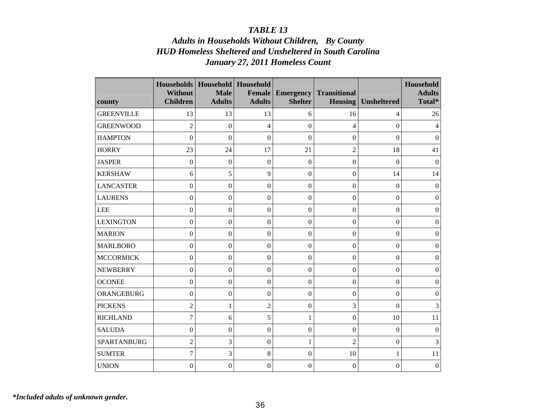# *Adults in Households Without Children, By County HUD Homeless Sheltered and Unsheltered in South Carolina January 27, 2011 Homeless Count*

| county            | <b>Households</b><br><b>Without</b><br><b>Children</b> | Household   Household<br><b>Male</b><br><b>Adults</b> | <b>Female</b><br><b>Adults</b> | <b>Emergency</b><br><b>Shelter</b> | <b>Transitional</b><br><b>Housing</b> | <b>Unsheltered</b> | Household<br><b>Adults</b><br>Total* |
|-------------------|--------------------------------------------------------|-------------------------------------------------------|--------------------------------|------------------------------------|---------------------------------------|--------------------|--------------------------------------|
| <b>GREENVILLE</b> | 13                                                     | 13                                                    | 13                             | 6                                  | 16                                    | 4                  | 26                                   |
| <b>GREENWOOD</b>  | $\overline{2}$                                         | $\boldsymbol{0}$                                      | 4                              | $\boldsymbol{0}$                   | $\overline{4}$                        | 0                  | 4                                    |
| <b>HAMPTON</b>    | $\boldsymbol{0}$                                       | $\boldsymbol{0}$                                      | $\boldsymbol{0}$               | $\overline{0}$                     | $\boldsymbol{0}$                      | $\mathbf{0}$       | $\mathbf{0}$                         |
| <b>HORRY</b>      | 23                                                     | 24                                                    | 17                             | 21                                 | $\overline{2}$                        | 18                 | 41                                   |
| <b>JASPER</b>     | $\boldsymbol{0}$                                       | $\boldsymbol{0}$                                      | $\mathbf{0}$                   | $\boldsymbol{0}$                   | $\boldsymbol{0}$                      | $\boldsymbol{0}$   | $\mathbf{0}$                         |
| <b>KERSHAW</b>    | 6                                                      | 5                                                     | 9                              | $\boldsymbol{0}$                   | $\boldsymbol{0}$                      | 14                 | 14                                   |
| <b>LANCASTER</b>  | $\boldsymbol{0}$                                       | $\overline{0}$                                        | $\boldsymbol{0}$               | $\boldsymbol{0}$                   | $\boldsymbol{0}$                      | $\boldsymbol{0}$   | $\boldsymbol{0}$                     |
| <b>LAURENS</b>    | $\boldsymbol{0}$                                       | $\overline{0}$                                        | $\boldsymbol{0}$               | $\boldsymbol{0}$                   | $\boldsymbol{0}$                      | $\boldsymbol{0}$   | $\mathbf{0}$                         |
| <b>LEE</b>        | $\boldsymbol{0}$                                       | $\overline{0}$                                        | $\mathbf{0}$                   | $\mathbf{0}$                       | $\mathbf{0}$                          | $\mathbf{0}$       | $\mathbf{0}$                         |
| <b>LEXINGTON</b>  | $\boldsymbol{0}$                                       | $\overline{0}$                                        | $\boldsymbol{0}$               | $\boldsymbol{0}$                   | $\Omega$                              | $\theta$           | $\overline{0}$                       |
| <b>MARION</b>     | $\boldsymbol{0}$                                       | $\overline{0}$                                        | $\boldsymbol{0}$               | $\boldsymbol{0}$                   | $\boldsymbol{0}$                      | $\Omega$           | $\boldsymbol{0}$                     |
| <b>MARLBORO</b>   | $\boldsymbol{0}$                                       | $\theta$                                              | $\boldsymbol{0}$               | $\mathbf{0}$                       | $\boldsymbol{0}$                      | 0                  | $\mathbf{0}$                         |
| <b>MCCORMICK</b>  | $\boldsymbol{0}$                                       | $\overline{0}$                                        | $\mathbf{0}$                   | $\overline{0}$                     | $\mathbf{0}$                          | $\mathbf{0}$       | $\mathbf{0}$                         |
| <b>NEWBERRY</b>   | $\boldsymbol{0}$                                       | $\theta$                                              | $\boldsymbol{0}$               | $\boldsymbol{0}$                   | $\overline{0}$                        | 0                  | $\overline{0}$                       |
| <b>OCONEE</b>     | $\boldsymbol{0}$                                       | $\mathbf{0}$                                          | $\boldsymbol{0}$               | $\boldsymbol{0}$                   | $\boldsymbol{0}$                      | $\Omega$           | $\mathbf{0}$                         |
| ORANGEBURG        | $\boldsymbol{0}$                                       | $\theta$                                              | $\boldsymbol{0}$               | $\boldsymbol{0}$                   | $\overline{0}$                        | 0                  | $\Omega$                             |
| <b>PICKENS</b>    | $\overline{2}$                                         | 1                                                     | $\overline{2}$                 | $\boldsymbol{0}$                   | 3                                     | $\Omega$           | 3                                    |
| <b>RICHLAND</b>   | $\overline{7}$                                         | 6                                                     | 5                              | $\mathbf{1}$                       | $\mathbf{0}$                          | 10                 | 11                                   |
| <b>SALUDA</b>     | $\boldsymbol{0}$                                       | $\overline{0}$                                        | $\mathbf{0}$                   | $\mathbf{0}$                       | $\overline{0}$                        | $\Omega$           | $\mathbf{0}$                         |
| SPARTANBURG       | $\overline{c}$                                         | 3                                                     | $\mathbf{0}$                   | $\mathbf{1}$                       | $\overline{2}$                        | 0                  | 3                                    |
| <b>SUMTER</b>     | $\tau$                                                 | 3                                                     | 8                              | $\boldsymbol{0}$                   | 10                                    | 1                  | 11                                   |
| <b>UNION</b>      | $\overline{0}$                                         | $\overline{0}$                                        | $\boldsymbol{0}$               | $\boldsymbol{0}$                   | $\overline{0}$                        | 0                  | $\boldsymbol{0}$                     |

*\*Included adults of unknown gender.*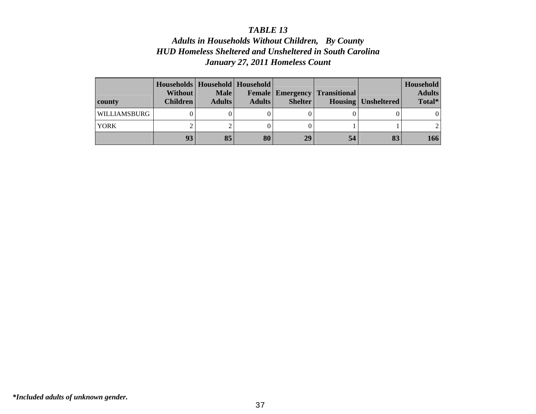# *Adults in Households Without Children, By County HUD Homeless Sheltered and Unsheltered in South Carolina January 27, 2011 Homeless Count*

| county       | Households   Household   Household  <br><b>Without</b><br><b>Children</b> | <b>Male</b><br><b>Adults</b> | <b>Adults</b> | <b>Shelter</b> | <b>Female   Emergency   Transitional  </b> | <b>Housing Unsheltered</b> | Household<br><b>Adults</b><br>Total* |
|--------------|---------------------------------------------------------------------------|------------------------------|---------------|----------------|--------------------------------------------|----------------------------|--------------------------------------|
| WILLIAMSBURG |                                                                           |                              |               |                |                                            |                            |                                      |
| <b>YORK</b>  |                                                                           |                              |               |                |                                            |                            |                                      |
|              | 93                                                                        | 85                           | 80            | 29             | 54                                         | 83                         | 166                                  |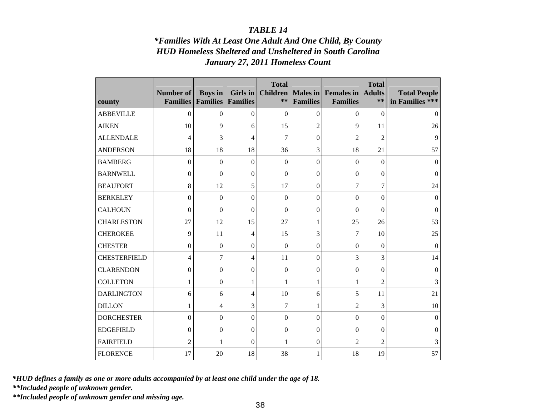# *\*Families With At Least One Adult And One Child, By County HUD Homeless Sheltered and Unsheltered in South Carolina January 27, 2011 Homeless Count*

| county              | <b>Number of</b><br><b>Families</b> | <b>Boys</b> in<br><b>Families</b> | Girls in<br><b>Families</b> | <b>Total</b><br><b>Children</b><br>** | Males in<br><b>Families</b> | <b>Females</b> in<br><b>Families</b> | <b>Total</b><br><b>Adults</b><br>$**$ | <b>Total People</b><br>in Families *** |
|---------------------|-------------------------------------|-----------------------------------|-----------------------------|---------------------------------------|-----------------------------|--------------------------------------|---------------------------------------|----------------------------------------|
| <b>ABBEVILLE</b>    | $\overline{0}$                      | $\theta$                          | $\theta$                    | $\theta$                              | $\theta$                    | $\overline{0}$                       | $\theta$                              | $\theta$                               |
| <b>AIKEN</b>        | 10                                  | 9                                 | 6                           | 15                                    | $\overline{2}$              | 9                                    | 11                                    | 26                                     |
| <b>ALLENDALE</b>    | 4                                   | 3                                 | 4                           | 7                                     | $\boldsymbol{0}$            | $\overline{c}$                       | $\overline{c}$                        | 9                                      |
| <b>ANDERSON</b>     | 18                                  | 18                                | 18                          | 36                                    | 3                           | 18                                   | 21                                    | 57                                     |
| <b>BAMBERG</b>      | $\boldsymbol{0}$                    | $\overline{0}$                    | $\overline{0}$              | $\theta$                              | $\mathbf{0}$                | $\boldsymbol{0}$                     | $\mathbf{0}$                          | $\Omega$                               |
| <b>BARNWELL</b>     | $\boldsymbol{0}$                    | $\overline{0}$                    | $\mathbf{0}$                | $\boldsymbol{0}$                      | $\mathbf{0}$                | $\boldsymbol{0}$                     | $\mathbf{0}$                          | $\Omega$                               |
| <b>BEAUFORT</b>     | 8                                   | 12                                | 5                           | 17                                    | $\mathbf{0}$                | $\overline{7}$                       | $\tau$                                | 24                                     |
| <b>BERKELEY</b>     | $\boldsymbol{0}$                    | $\boldsymbol{0}$                  | $\boldsymbol{0}$            | $\boldsymbol{0}$                      | $\mathbf{0}$                | $\mathbf{0}$                         | $\boldsymbol{0}$                      | $\mathbf{0}$                           |
| <b>CALHOUN</b>      | $\mathbf{0}$                        | $\overline{0}$                    | $\overline{0}$              | $\overline{0}$                        | $\mathbf{0}$                | $\boldsymbol{0}$                     | $\mathbf{0}$                          | $\mathbf{0}$                           |
| <b>CHARLESTON</b>   | 27                                  | 12                                | 15                          | 27                                    | 1                           | 25                                   | 26                                    | 53                                     |
| <b>CHEROKEE</b>     | 9                                   | 11                                | $\overline{4}$              | 15                                    | 3                           | 7                                    | 10                                    | 25                                     |
| <b>CHESTER</b>      | $\boldsymbol{0}$                    | $\overline{0}$                    | $\boldsymbol{0}$            | $\boldsymbol{0}$                      | $\mathbf{0}$                | $\boldsymbol{0}$                     | $\mathbf{0}$                          | $\theta$                               |
| <b>CHESTERFIELD</b> | 4                                   | 7                                 | 4                           | 11                                    | $\mathbf{0}$                | 3                                    | 3                                     | 14                                     |
| <b>CLARENDON</b>    | $\overline{0}$                      | $\theta$                          | $\boldsymbol{0}$            | $\boldsymbol{0}$                      | $\boldsymbol{0}$            | $\boldsymbol{0}$                     | $\theta$                              | $\theta$                               |
| <b>COLLETON</b>     | $\mathbf{1}$                        | $\mathbf{0}$                      | $\mathbf{1}$                | 1                                     | $\mathbf{1}$                | $\mathbf{1}$                         | $\overline{2}$                        | 3                                      |
| <b>DARLINGTON</b>   | 6                                   | 6                                 | 4                           | 10                                    | 6                           | 5                                    | 11                                    | 21                                     |
| <b>DILLON</b>       | 1                                   | 4                                 | 3                           | 7                                     | 1                           | $\overline{2}$                       | 3                                     | 10                                     |
| <b>DORCHESTER</b>   | $\boldsymbol{0}$                    | $\mathbf{0}$                      | $\overline{0}$              | $\boldsymbol{0}$                      | $\overline{0}$              | $\boldsymbol{0}$                     | $\overline{0}$                        | $\theta$                               |
| <b>EDGEFIELD</b>    | $\boldsymbol{0}$                    | $\boldsymbol{0}$                  | $\boldsymbol{0}$            | $\boldsymbol{0}$                      | $\boldsymbol{0}$            | $\boldsymbol{0}$                     | $\mathbf{0}$                          | $\theta$                               |
| <b>FAIRFIELD</b>    | $\overline{2}$                      | 1                                 | $\overline{0}$              | 1                                     | $\boldsymbol{0}$            | $\overline{2}$                       | $\overline{2}$                        | 3                                      |
| <b>FLORENCE</b>     | 17                                  | 20                                | 18                          | 38                                    | 1                           | 18                                   | 19                                    | 57                                     |

*\*HUD defines a family as one or more adults accompanied by at least one child under the age of 18.* 

*\*\*Included people of unknown gender.* 

*\*\*Included people of unknown gender and missing age.*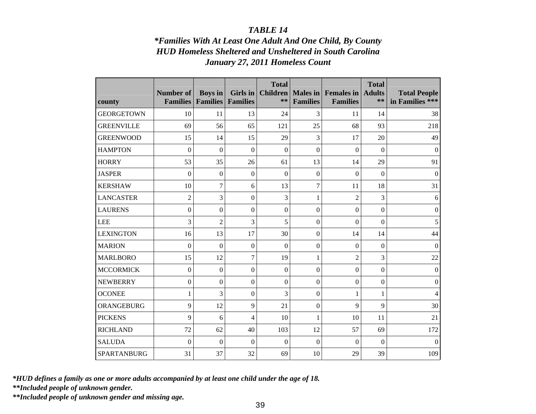# *\*Families With At Least One Adult And One Child, By County HUD Homeless Sheltered and Unsheltered in South Carolina January 27, 2011 Homeless Count*

|                   | <b>Number of</b> | <b>Boys</b> in   | Girls in                 | <b>Total</b><br><b>Children</b> | Males in         | <b>Females</b> in | <b>Total</b><br><b>Adults</b> | <b>Total People</b> |
|-------------------|------------------|------------------|--------------------------|---------------------------------|------------------|-------------------|-------------------------------|---------------------|
| county            | <b>Families</b>  | <b>Families</b>  | <b>Families</b>          | **                              | <b>Families</b>  | <b>Families</b>   | $**$                          | in Families ***     |
| <b>GEORGETOWN</b> | 10               | 11               | 13                       | 24                              | $\overline{3}$   | 11                | 14                            | 38                  |
| <b>GREENVILLE</b> | 69               | 56               | 65                       | 121                             | 25               | 68                | 93                            | 218                 |
| <b>GREENWOOD</b>  | 15               | 14               | 15                       | 29                              | 3                | 17                | 20                            | 49                  |
| <b>HAMPTON</b>    | $\mathbf{0}$     | $\mathbf{0}$     | $\overline{0}$           | $\overline{0}$                  | $\overline{0}$   | $\mathbf{0}$      | $\mathbf{0}$                  | $\mathbf{0}$        |
| <b>HORRY</b>      | 53               | 35               | 26                       | 61                              | 13               | 14                | 29                            | 91                  |
| <b>JASPER</b>     | $\boldsymbol{0}$ | $\mathbf{0}$     | $\theta$                 | $\theta$                        | $\boldsymbol{0}$ | $\boldsymbol{0}$  | $\theta$                      | $\theta$            |
| <b>KERSHAW</b>    | 10               | $\tau$           | 6                        | 13                              | $\overline{7}$   | 11                | 18                            | 31                  |
| <b>LANCASTER</b>  | $\overline{2}$   | 3                | $\boldsymbol{0}$         | 3                               | $\mathbf{1}$     | $\overline{2}$    | 3                             | 6                   |
| <b>LAURENS</b>    | $\overline{0}$   | $\boldsymbol{0}$ | $\boldsymbol{0}$         | $\boldsymbol{0}$                | $\boldsymbol{0}$ | $\boldsymbol{0}$  | $\boldsymbol{0}$              | $\mathbf{0}$        |
| <b>LEE</b>        | 3                | $\overline{2}$   | 3                        | 5                               | $\overline{0}$   | $\boldsymbol{0}$  | $\mathbf{0}$                  | 5                   |
| <b>LEXINGTON</b>  | 16               | 13               | 17                       | 30                              | $\overline{0}$   | 14                | 14                            | 44                  |
| <b>MARION</b>     | $\overline{0}$   | $\Omega$         | $\boldsymbol{0}$         | $\theta$                        | $\boldsymbol{0}$ | $\mathbf{0}$      | $\theta$                      | $\Omega$            |
| <b>MARLBORO</b>   | 15               | 12               | $\overline{7}$           | 19                              | $\mathbf{1}$     | $\overline{2}$    | 3                             | 22                  |
| <b>MCCORMICK</b>  | $\boldsymbol{0}$ | $\boldsymbol{0}$ | $\boldsymbol{0}$         | $\boldsymbol{0}$                | $\boldsymbol{0}$ | $\boldsymbol{0}$  | $\boldsymbol{0}$              | $\boldsymbol{0}$    |
| <b>NEWBERRY</b>   | $\boldsymbol{0}$ | $\mathbf{0}$     | $\boldsymbol{0}$         | $\boldsymbol{0}$                | $\mathbf{0}$     | $\boldsymbol{0}$  | $\boldsymbol{0}$              | $\boldsymbol{0}$    |
| <b>OCONEE</b>     | $\mathbf{1}$     | 3                | $\overline{0}$           | 3                               | $\mathbf{0}$     | $\mathbf{1}$      | 1                             | $\overline{4}$      |
| ORANGEBURG        | 9                | 12               | 9                        | 21                              | $\boldsymbol{0}$ | 9                 | 9                             | 30                  |
| <b>PICKENS</b>    | 9                | 6                | $\overline{\mathcal{L}}$ | 10                              | $\mathbf{1}$     | 10                | 11                            | 21                  |
| <b>RICHLAND</b>   | 72               | 62               | 40                       | 103                             | 12               | 57                | 69                            | 172                 |
| <b>SALUDA</b>     | $\mathbf{0}$     | $\mathbf{0}$     | $\boldsymbol{0}$         | $\overline{0}$                  | $\overline{0}$   | $\boldsymbol{0}$  | $\mathbf{0}$                  | $\mathbf{0}$        |
| SPARTANBURG       | 31               | 37               | 32                       | 69                              | 10               | 29                | 39                            | 109                 |

*\*HUD defines a family as one or more adults accompanied by at least one child under the age of 18.* 

*\*\*Included people of unknown gender.* 

*\*\*Included people of unknown gender and missing age.*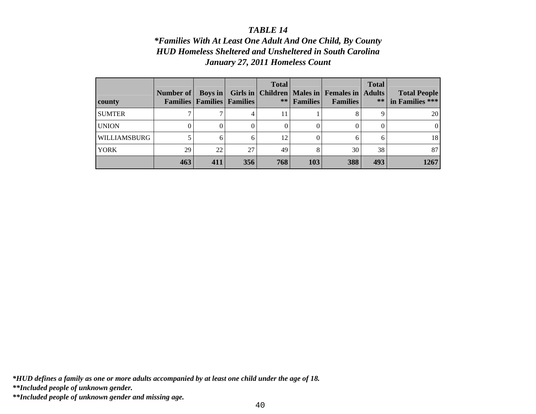# *\*Families With At Least One Adult And One Child, By County HUD Homeless Sheltered and Unsheltered in South Carolina January 27, 2011 Homeless Count*

| county        | Number of    | <b>Boys</b> in<br><b>Families   Families   Families</b> |     | <b>Total</b><br>Girls in   Children<br>** | <b>Families</b> | Males in Females in Adults<br><b>Families</b> | <b>Total</b><br>$**$ | <b>Total People</b><br>in Families *** |
|---------------|--------------|---------------------------------------------------------|-----|-------------------------------------------|-----------------|-----------------------------------------------|----------------------|----------------------------------------|
| <b>SUMTER</b> | $\mathbf{r}$ |                                                         | 4   | 11                                        |                 |                                               | q                    | <b>20</b>                              |
| <b>UNION</b>  |              |                                                         | 0   |                                           |                 |                                               | 0                    | $\theta$                               |
| WILLIAMSBURG  |              |                                                         | 6   | 12                                        | 0               |                                               | h                    | 18                                     |
| <b>YORK</b>   | 29           | 22                                                      | 27  | 49                                        | 8               | 30                                            | 38                   | 87                                     |
|               | 463          | 411                                                     | 356 | 768                                       | 103             | 388                                           | 493                  | 1267                                   |

*\*HUD defines a family as one or more adults accompanied by at least one child under the age of 18.* 

*\*\*Included people of unknown gender.* 

*\*\*Included people of unknown gender and missing age.*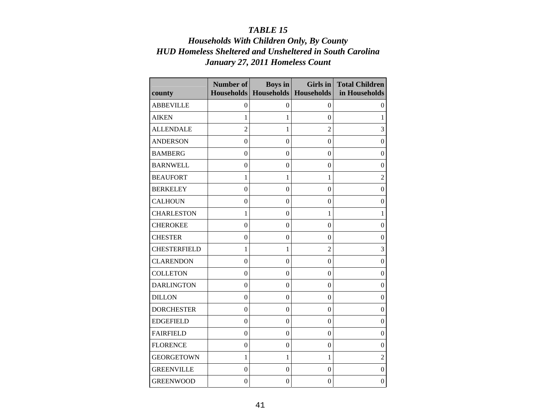# *Households With Children Only, By County HUD Homeless Sheltered and Unsheltered in South Carolina January 27, 2011 Homeless Count*

<u> 1980 - Johann Barn, fransk kongresu og forskellige og forskellige og forskellige og forskellige og forskellig</u>

 $\overline{\phantom{0}}$ 

| county              | <b>Number of</b> | <b>Boys</b> in<br>Households   Households | Girls in<br>Households | <b>Total Children</b><br>in Households |
|---------------------|------------------|-------------------------------------------|------------------------|----------------------------------------|
| <b>ABBEVILLE</b>    | $\boldsymbol{0}$ | $\mathbf{0}$                              | $\theta$               | $\overline{0}$                         |
| <b>AIKEN</b>        | 1                | 1                                         | $\theta$               | 1                                      |
| <b>ALLENDALE</b>    | $\overline{2}$   | $\mathbf{1}$                              | $\overline{2}$         | 3                                      |
| <b>ANDERSON</b>     | $\boldsymbol{0}$ | $\mathbf{0}$                              | $\boldsymbol{0}$       | $\boldsymbol{0}$                       |
| <b>BAMBERG</b>      | $\boldsymbol{0}$ | $\boldsymbol{0}$                          | $\boldsymbol{0}$       | $\boldsymbol{0}$                       |
| <b>BARNWELL</b>     | $\overline{0}$   | $\theta$                                  | $\overline{0}$         | $\Omega$                               |
| <b>BEAUFORT</b>     | $\mathbf{1}$     | 1                                         | $\mathbf{1}$           | $\overline{2}$                         |
| <b>BERKELEY</b>     | $\boldsymbol{0}$ | $\mathbf{0}$                              | $\theta$               | $\boldsymbol{0}$                       |
| <b>CALHOUN</b>      | $\boldsymbol{0}$ | $\overline{0}$                            | $\boldsymbol{0}$       | $\boldsymbol{0}$                       |
| <b>CHARLESTON</b>   | $\mathbf{1}$     | $\theta$                                  | $\mathbf{1}$           | 1                                      |
| <b>CHEROKEE</b>     | $\overline{0}$   | $\theta$                                  | $\theta$               | $\boldsymbol{0}$                       |
| <b>CHESTER</b>      | $\boldsymbol{0}$ | $\mathbf{0}$                              | $\boldsymbol{0}$       | $\overline{0}$                         |
| <b>CHESTERFIELD</b> | $\mathbf{1}$     | 1                                         | $\overline{2}$         | 3                                      |
| <b>CLARENDON</b>    | $\mathbf{0}$     | $\boldsymbol{0}$                          | $\overline{0}$         | $\mathbf{0}$                           |
| <b>COLLETON</b>     | $\boldsymbol{0}$ | $\overline{0}$                            | $\theta$               | $\overline{0}$                         |
| <b>DARLINGTON</b>   | $\boldsymbol{0}$ | $\mathbf{0}$                              | $\mathbf{0}$           | $\overline{0}$                         |
| <b>DILLON</b>       | $\boldsymbol{0}$ | $\theta$                                  | $\overline{0}$         | $\overline{0}$                         |
| <b>DORCHESTER</b>   | $\boldsymbol{0}$ | $\boldsymbol{0}$                          | $\theta$               | $\mathbf{0}$                           |
| <b>EDGEFIELD</b>    | $\boldsymbol{0}$ | $\theta$                                  | $\theta$               | $\mathbf{0}$                           |
| <b>FAIRFIELD</b>    | $\boldsymbol{0}$ | $\boldsymbol{0}$                          | $\mathbf{0}$           | $\mathbf{0}$                           |
| <b>FLORENCE</b>     | $\mathbf{0}$     | $\theta$                                  | $\overline{0}$         | $\Omega$                               |
| <b>GEORGETOWN</b>   | $\mathbf{1}$     | $\mathbf{1}$                              | $\mathbf{1}$           | $\overline{2}$                         |
| <b>GREENVILLE</b>   | $\boldsymbol{0}$ | $\overline{0}$                            | $\mathbf{0}$           | $\mathbf{0}$                           |
| <b>GREENWOOD</b>    | $\mathbf{0}$     | $\overline{0}$                            | $\mathbf{0}$           | $\overline{0}$                         |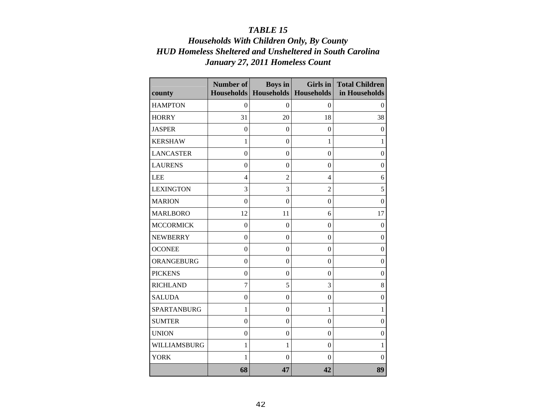# *Households With Children Only, By County HUD Homeless Sheltered and Unsheltered in South Carolina January 27, 2011 Homeless Count*

| county             | Number of        | <b>Boys</b> in   | Girls in<br>Households   Households   Households | <b>Total Children</b><br>in Households |
|--------------------|------------------|------------------|--------------------------------------------------|----------------------------------------|
| <b>HAMPTON</b>     | $\boldsymbol{0}$ | $\mathbf{0}$     | $\theta$                                         | $\mathbf{0}$                           |
| <b>HORRY</b>       | 31               | 20               | 18                                               | 38                                     |
| <b>JASPER</b>      | $\theta$         | $\theta$         | $\theta$                                         | $\theta$                               |
| <b>KERSHAW</b>     | $\mathbf{1}$     | $\mathbf{0}$     | $\mathbf{1}$                                     | $\mathbf{1}$                           |
| <b>LANCASTER</b>   | $\theta$         | $\theta$         | $\theta$                                         | $\theta$                               |
| <b>LAURENS</b>     | $\theta$         | $\theta$         | $\theta$                                         | $\mathbf{0}$                           |
| <b>LEE</b>         | $\overline{4}$   | $\overline{2}$   | $\overline{4}$                                   | 6                                      |
| <b>LEXINGTON</b>   | 3                | 3                | $\overline{2}$                                   | 5                                      |
| <b>MARION</b>      | $\theta$         | $\theta$         | $\theta$                                         | $\Omega$                               |
| <b>MARLBORO</b>    | 12               | 11               | 6                                                | 17                                     |
| <b>MCCORMICK</b>   | $\mathbf{0}$     | $\boldsymbol{0}$ | $\overline{0}$                                   | $\boldsymbol{0}$                       |
| <b>NEWBERRY</b>    | $\mathbf{0}$     | $\mathbf{0}$     | $\boldsymbol{0}$                                 | $\boldsymbol{0}$                       |
| <b>OCONEE</b>      | $\Omega$         | $\theta$         | $\theta$                                         | $\Omega$                               |
| ORANGEBURG         | $\boldsymbol{0}$ | $\theta$         | $\theta$                                         | $\boldsymbol{0}$                       |
| <b>PICKENS</b>     | $\boldsymbol{0}$ | $\boldsymbol{0}$ | $\theta$                                         | $\boldsymbol{0}$                       |
| <b>RICHLAND</b>    | $\overline{7}$   | 5                | 3                                                | 8                                      |
| <b>SALUDA</b>      | $\theta$         | $\theta$         | $\theta$                                         | $\mathbf{0}$                           |
| <b>SPARTANBURG</b> | $\mathbf{1}$     | $\boldsymbol{0}$ | 1                                                | 1                                      |
| <b>SUMTER</b>      | $\boldsymbol{0}$ | $\theta$         | $\boldsymbol{0}$                                 | $\boldsymbol{0}$                       |
| <b>UNION</b>       | $\boldsymbol{0}$ | $\overline{0}$   | $\boldsymbol{0}$                                 | $\boldsymbol{0}$                       |
| WILLIAMSBURG       | $\mathbf{1}$     | 1                | $\theta$                                         | 1                                      |
| <b>YORK</b>        | 1                | $\overline{0}$   | $\theta$                                         | 0                                      |
|                    | 68               | 47               | 42                                               | 89                                     |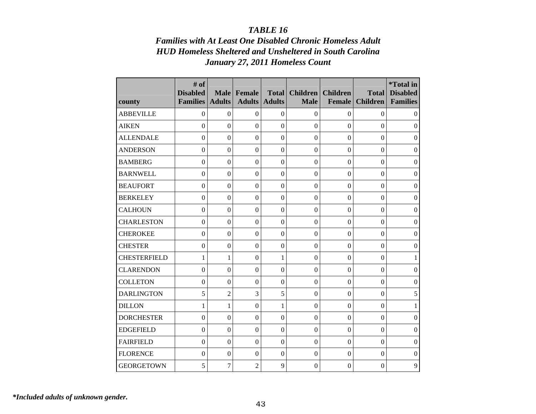# *Families with At Least One Disabled Chronic Homeless Adult HUD Homeless Sheltered and Unsheltered in South Carolina January 27, 2011 Homeless Count*

| county              | # of<br><b>Disabled</b><br><b>Families</b> | <b>Male</b><br><b>Adults</b> | Female<br><b>Adults</b> | <b>Total</b><br><b>Adults</b> | <b>Children</b><br><b>Male</b> | <b>Children</b><br><b>Female</b> | <b>Total</b><br><b>Children</b> | *Total in<br><b>Disabled</b><br><b>Families</b> |
|---------------------|--------------------------------------------|------------------------------|-------------------------|-------------------------------|--------------------------------|----------------------------------|---------------------------------|-------------------------------------------------|
| <b>ABBEVILLE</b>    | $\mathbf{0}$                               | $\mathbf{0}$                 | $\boldsymbol{0}$        | $\theta$                      | $\mathbf{0}$                   | $\mathbf{0}$                     | $\theta$                        | 0                                               |
| <b>AIKEN</b>        | $\theta$                                   | $\Omega$                     | $\boldsymbol{0}$        | $\theta$                      | $\Omega$                       | $\theta$                         | $\Omega$                        | $\theta$                                        |
| <b>ALLENDALE</b>    | $\overline{0}$                             | $\Omega$                     | $\boldsymbol{0}$        | $\overline{0}$                | $\Omega$                       | $\theta$                         | $\Omega$                        | $\theta$                                        |
| <b>ANDERSON</b>     | $\mathbf{0}$                               | $\mathbf{0}$                 | $\boldsymbol{0}$        | $\theta$                      | $\Omega$                       | $\theta$                         | $\mathbf{0}$                    | $\theta$                                        |
| <b>BAMBERG</b>      | $\theta$                                   | $\Omega$                     | $\boldsymbol{0}$        | $\theta$                      | $\Omega$                       | $\theta$                         | $\theta$                        | $\boldsymbol{0}$                                |
| <b>BARNWELL</b>     | $\mathbf{0}$                               | $\mathbf{0}$                 | $\boldsymbol{0}$        | $\overline{0}$                | $\Omega$                       | $\mathbf{0}$                     | $\boldsymbol{0}$                | $\boldsymbol{0}$                                |
| <b>BEAUFORT</b>     | $\overline{0}$                             | $\Omega$                     | $\boldsymbol{0}$        | $\theta$                      | $\theta$                       | $\Omega$                         | $\theta$                        | $\theta$                                        |
| <b>BERKELEY</b>     | $\mathbf{0}$                               | $\mathbf{0}$                 | $\boldsymbol{0}$        | $\overline{0}$                | $\Omega$                       | $\overline{0}$                   | $\mathbf{0}$                    | $\boldsymbol{0}$                                |
| <b>CALHOUN</b>      | $\overline{0}$                             | $\Omega$                     | $\boldsymbol{0}$        | $\theta$                      | $\Omega$                       | $\overline{0}$                   | $\boldsymbol{0}$                | $\boldsymbol{0}$                                |
| <b>CHARLESTON</b>   | $\overline{0}$                             | $\mathbf{0}$                 | $\mathbf{0}$            | $\overline{0}$                | $\boldsymbol{0}$               | $\overline{0}$                   | $\boldsymbol{0}$                | $\boldsymbol{0}$                                |
| <b>CHEROKEE</b>     | $\overline{0}$                             | $\Omega$                     | $\Omega$                | $\theta$                      | $\Omega$                       | $\theta$                         | $\Omega$                        | $\overline{0}$                                  |
| <b>CHESTER</b>      | $\overline{0}$                             | $\overline{0}$               | $\overline{0}$          | $\overline{0}$                | $\Omega$                       | $\overline{0}$                   | $\Omega$                        | $\overline{0}$                                  |
| <b>CHESTERFIELD</b> | 1                                          | 1                            | $\boldsymbol{0}$        | 1                             | $\Omega$                       | $\overline{0}$                   | $\boldsymbol{0}$                | $\mathbf{1}$                                    |
| <b>CLARENDON</b>    | $\overline{0}$                             | $\Omega$                     | $\mathbf{0}$            | $\theta$                      | $\Omega$                       | $\theta$                         | $\theta$                        | $\mathbf{0}$                                    |
| <b>COLLETON</b>     | $\boldsymbol{0}$                           | $\Omega$                     | $\boldsymbol{0}$        | $\theta$                      | $\Omega$                       | $\mathbf{0}$                     | $\boldsymbol{0}$                | $\boldsymbol{0}$                                |
| <b>DARLINGTON</b>   | 5                                          | $\overline{2}$               | 3                       | 5                             | $\Omega$                       | $\overline{0}$                   | $\Omega$                        | 5                                               |
| <b>DILLON</b>       | 1                                          | 1                            | $\boldsymbol{0}$        | 1                             | $\overline{0}$                 | $\mathbf{0}$                     | $\boldsymbol{0}$                | $\mathbf{1}$                                    |
| <b>DORCHESTER</b>   | $\theta$                                   | $\Omega$                     | $\boldsymbol{0}$        | $\theta$                      | $\Omega$                       | $\theta$                         | $\Omega$                        | $\overline{0}$                                  |
| <b>EDGEFIELD</b>    | $\mathbf{0}$                               | $\boldsymbol{0}$             | $\boldsymbol{0}$        | $\overline{0}$                | $\mathbf{0}$                   | $\overline{0}$                   | $\boldsymbol{0}$                | $\mathbf{0}$                                    |
| <b>FAIRFIELD</b>    | $\theta$                                   | $\Omega$                     | $\boldsymbol{0}$        | $\theta$                      | $\Omega$                       | $\theta$                         | $\Omega$                        | $\theta$                                        |
| <b>FLORENCE</b>     | $\overline{0}$                             | $\boldsymbol{0}$             | $\mathbf{0}$            | $\overline{0}$                | $\Omega$                       | $\overline{0}$                   | $\boldsymbol{0}$                | $\overline{0}$                                  |
| <b>GEORGETOWN</b>   | 5                                          | 7                            | $\overline{c}$          | 9                             | $\mathbf{0}$                   | $\mathbf{0}$                     | $\theta$                        | 9                                               |

*\*Included adults of unknown gender.*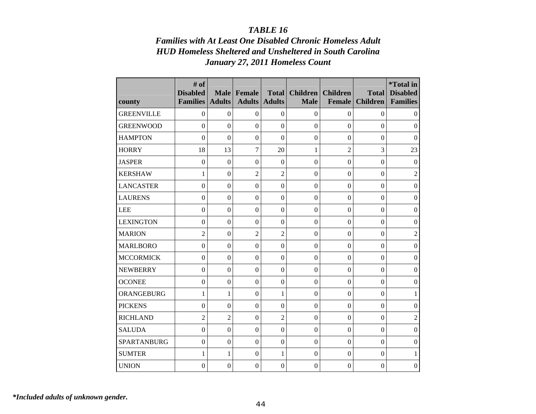# *Families with At Least One Disabled Chronic Homeless Adult HUD Homeless Sheltered and Unsheltered in South Carolina January 27, 2011 Homeless Count*

| county             | # of<br><b>Disabled</b><br><b>Families</b> | <b>Male</b><br><b>Adults</b> | Female<br><b>Adults</b> | <b>Total</b><br><b>Adults</b> | <b>Children</b><br><b>Male</b> | <b>Children</b><br><b>Female</b> | <b>Total</b><br><b>Children</b> | <i>*Total</i> in<br><b>Disabled</b><br><b>Families</b> |
|--------------------|--------------------------------------------|------------------------------|-------------------------|-------------------------------|--------------------------------|----------------------------------|---------------------------------|--------------------------------------------------------|
| <b>GREENVILLE</b>  | $\mathbf{0}$                               | $\Omega$                     | $\boldsymbol{0}$        | $\Omega$                      | $\boldsymbol{0}$               | $\boldsymbol{0}$                 | $\Omega$                        | $\boldsymbol{0}$                                       |
| <b>GREENWOOD</b>   | $\overline{0}$                             | $\Omega$                     | $\boldsymbol{0}$        | $\mathbf{0}$                  | $\overline{0}$                 | $\Omega$                         | $\Omega$                        | $\Omega$                                               |
| <b>HAMPTON</b>     | $\overline{0}$                             | $\overline{0}$               | $\boldsymbol{0}$        | $\overline{0}$                | $\overline{0}$                 | $\overline{0}$                   | $\theta$                        | $\overline{0}$                                         |
| <b>HORRY</b>       | 18                                         | 13                           | 7                       | 20                            | 1                              | $\overline{2}$                   | 3                               | 23                                                     |
| <b>JASPER</b>      | $\mathbf{0}$                               | $\mathbf{0}$                 | $\boldsymbol{0}$        | $\boldsymbol{0}$              | $\mathbf{0}$                   | $\mathbf{0}$                     | $\boldsymbol{0}$                | $\overline{0}$                                         |
| <b>KERSHAW</b>     | 1                                          | $\mathbf{0}$                 | $\mathfrak{2}$          | $\overline{2}$                | $\theta$                       | $\boldsymbol{0}$                 | $\boldsymbol{0}$                | $\overline{2}$                                         |
| <b>LANCASTER</b>   | $\mathbf{0}$                               | $\overline{0}$               | $\mathbf{0}$            | $\overline{0}$                | $\theta$                       | $\mathbf{0}$                     | $\boldsymbol{0}$                | $\boldsymbol{0}$                                       |
| <b>LAURENS</b>     | $\mathbf{0}$                               | $\overline{0}$               | $\boldsymbol{0}$        | $\mathbf{0}$                  | $\overline{0}$                 | $\boldsymbol{0}$                 | $\theta$                        | $\boldsymbol{0}$                                       |
| <b>LEE</b>         | $\mathbf{0}$                               | $\overline{0}$               | $\boldsymbol{0}$        | $\mathbf{0}$                  | $\Omega$                       | $\mathbf{0}$                     | $\boldsymbol{0}$                | $\boldsymbol{0}$                                       |
| <b>LEXINGTON</b>   | $\overline{0}$                             | $\Omega$                     | $\boldsymbol{0}$        | $\overline{0}$                | $\Omega$                       | $\Omega$                         | $\theta$                        | $\boldsymbol{0}$                                       |
| <b>MARION</b>      | $\overline{2}$                             | $\overline{0}$               | $\overline{2}$          | $\overline{2}$                | $\overline{0}$                 | $\overline{0}$                   | $\theta$                        | $\overline{2}$                                         |
| <b>MARLBORO</b>    | $\overline{0}$                             | $\overline{0}$               | $\Omega$                | $\overline{0}$                | $\overline{0}$                 | $\overline{0}$                   | $\theta$                        | $\overline{0}$                                         |
| <b>MCCORMICK</b>   | $\overline{0}$                             | $\overline{0}$               | $\boldsymbol{0}$        | $\overline{0}$                | $\overline{0}$                 | $\overline{0}$                   | $\overline{0}$                  | $\mathbf{0}$                                           |
| <b>NEWBERRY</b>    | $\overline{0}$                             | $\theta$                     | $\boldsymbol{0}$        | $\Omega$                      | $\theta$                       | $\mathbf{0}$                     | $\theta$                        | $\boldsymbol{0}$                                       |
| <b>OCONEE</b>      | $\overline{0}$                             | $\overline{0}$               | $\mathbf{0}$            | $\mathbf{0}$                  | $\overline{0}$                 | $\overline{0}$                   | $\boldsymbol{0}$                | $\boldsymbol{0}$                                       |
| ORANGEBURG         | 1                                          | 1                            | $\boldsymbol{0}$        | 1                             | $\overline{0}$                 | $\overline{0}$                   | $\Omega$                        | $\mathbf{1}$                                           |
| <b>PICKENS</b>     | $\mathbf{0}$                               | $\mathbf{0}$                 | $\boldsymbol{0}$        | $\boldsymbol{0}$              | $\overline{0}$                 | $\boldsymbol{0}$                 | $\boldsymbol{0}$                | $\overline{0}$                                         |
| <b>RICHLAND</b>    | $\overline{c}$                             | $\overline{2}$               | $\boldsymbol{0}$        | $\overline{c}$                | $\Omega$                       | $\Omega$                         | $\theta$                        | $\mathbf{2}$                                           |
| <b>SALUDA</b>      | $\overline{0}$                             | $\overline{0}$               | $\boldsymbol{0}$        | $\overline{0}$                | $\overline{0}$                 | $\overline{0}$                   | $\boldsymbol{0}$                | $\overline{0}$                                         |
| <b>SPARTANBURG</b> | $\theta$                                   | $\Omega$                     | $\boldsymbol{0}$        | $\Omega$                      | $\Omega$                       | $\Omega$                         | $\Omega$                        | $\boldsymbol{0}$                                       |
| <b>SUMTER</b>      | $\mathbf{1}$                               | $\mathbf{1}$                 | $\boldsymbol{0}$        | 1                             | $\overline{0}$                 | $\overline{0}$                   | $\boldsymbol{0}$                | $\mathbf{1}$                                           |
| <b>UNION</b>       | $\theta$                                   | $\theta$                     | $\boldsymbol{0}$        | $\theta$                      | $\theta$                       | $\theta$                         | $\theta$                        | $\boldsymbol{0}$                                       |

*\*Included adults of unknown gender.*